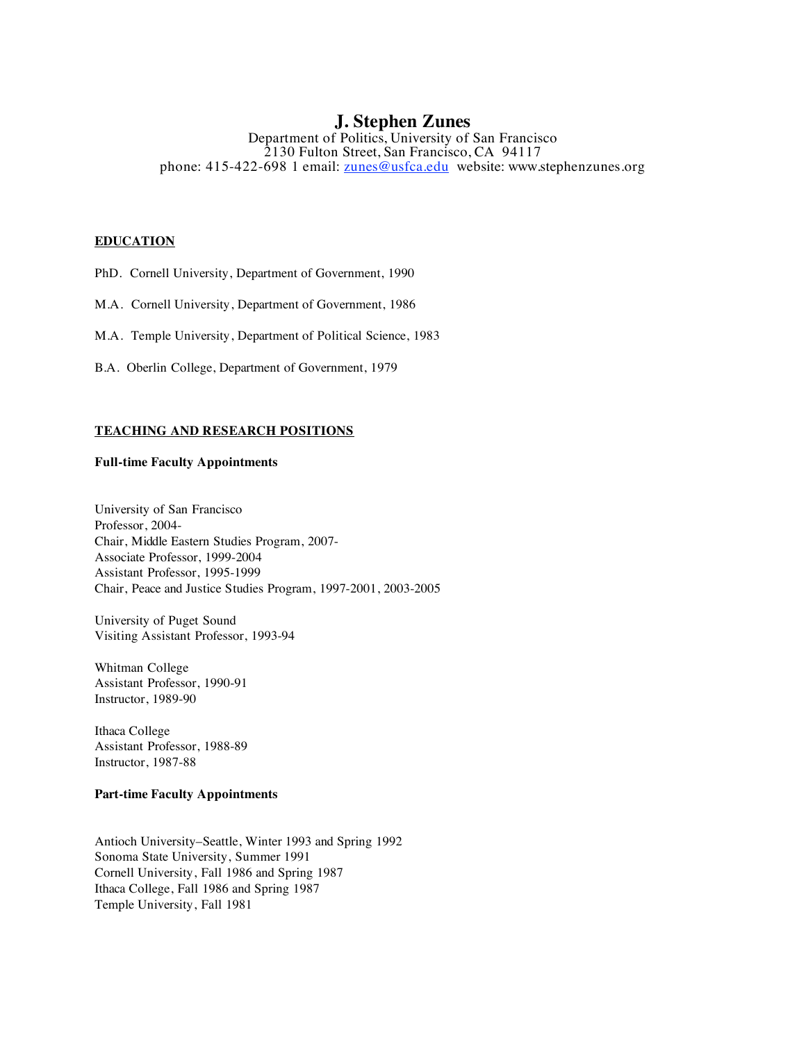# **J. Stephen Zunes**

Department of Politics, University of San Francisco 2130 Fulton Street, San Francisco, CA 94117 phone: 415-422-698 1 email: <u>zunes@usfca.edu</u> website: www.stephenzunes.org

# **EDUCATION**

PhD. Cornell University, Department of Government, 1990

M.A. Cornell University, Department of Government, 1986

M.A. Temple University, Department of Political Science, 1983

B.A. Oberlin College, Department of Government, 1979

# **TEACHING AND RESEARCH POSITIONS**

# **Full-time Faculty Appointments**

University of San Francisco Professor, 2004- Chair, Middle Eastern Studies Program, 2007- Associate Professor, 1999-2004 Assistant Professor, 1995-1999 Chair, Peace and Justice Studies Program, 1997-2001, 2003-2005

University of Puget Sound Visiting Assistant Professor, 1993-94

Whitman College Assistant Professor, 1990-91 Instructor, 1989-90

Ithaca College Assistant Professor, 1988-89 Instructor, 1987-88

# **Part-time Faculty Appointments**

Antioch University–Seattle, Winter 1993 and Spring 1992 Sonoma State University, Summer 1991 Cornell University, Fall 1986 and Spring 1987 Ithaca College, Fall 1986 and Spring 1987 Temple University, Fall 1981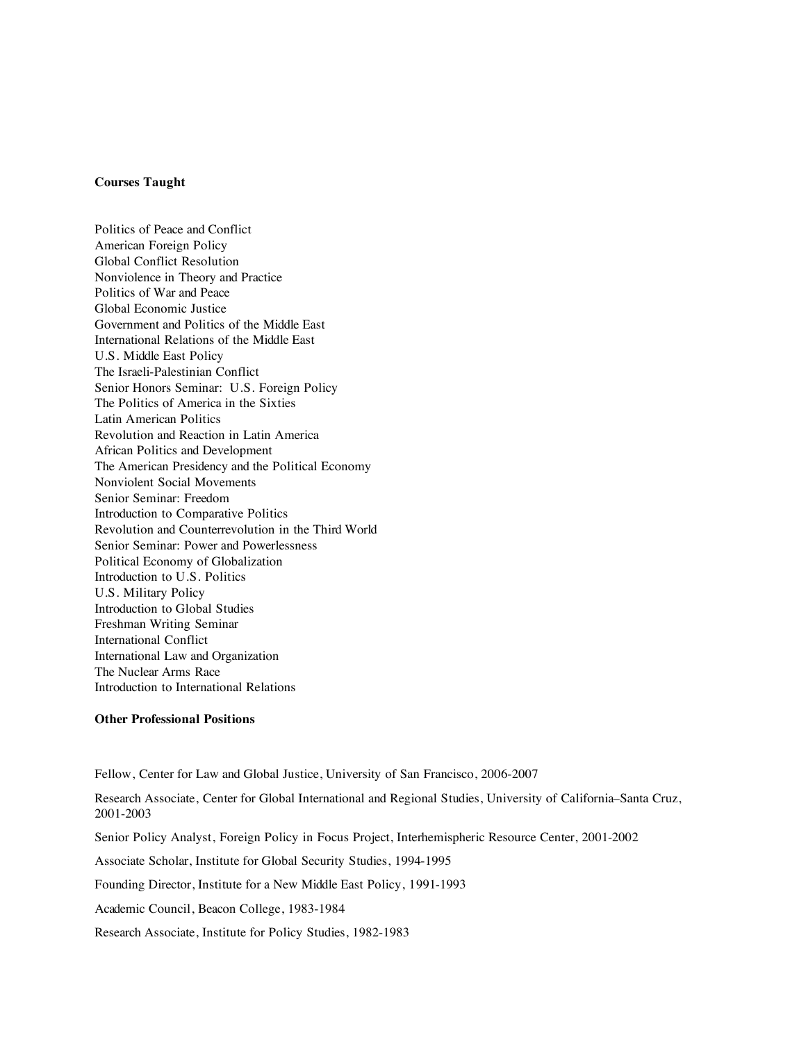# **Courses Taught**

Politics of Peace and Conflict American Foreign Policy Global Conflict Resolution Nonviolence in Theory and Practice Politics of War and Peace Global Economic Justice Government and Politics of the Middle East International Relations of the Middle East U.S. Middle East Policy The Israeli-Palestinian Conflict Senior Honors Seminar: U.S. Foreign Policy The Politics of America in the Sixties Latin American Politics Revolution and Reaction in Latin America African Politics and Development The American Presidency and the Political Economy Nonviolent Social Movements Senior Seminar: Freedom Introduction to Comparative Politics Revolution and Counterrevolution in the Third World Senior Seminar: Power and Powerlessness Political Economy of Globalization Introduction to U.S. Politics U.S. Military Policy Introduction to Global Studies Freshman Writing Seminar International Conflict International Law and Organization The Nuclear Arms Race Introduction to International Relations

#### **Other Professional Positions**

Fellow, Center for Law and Global Justice, University of San Francisco, 2006-2007

Research Associate, Center for Global International and Regional Studies, University of California–Santa Cruz, 2001-2003 Senior Policy Analyst, Foreign Policy in Focus Project, Interhemispheric Resource Center, 2001-2002 Associate Scholar, Institute for Global Security Studies, 1994-1995 Founding Director, Institute for a New Middle East Policy, 1991-1993 Academic Council, Beacon College, 1983-1984 Research Associate, Institute for Policy Studies, 1982-1983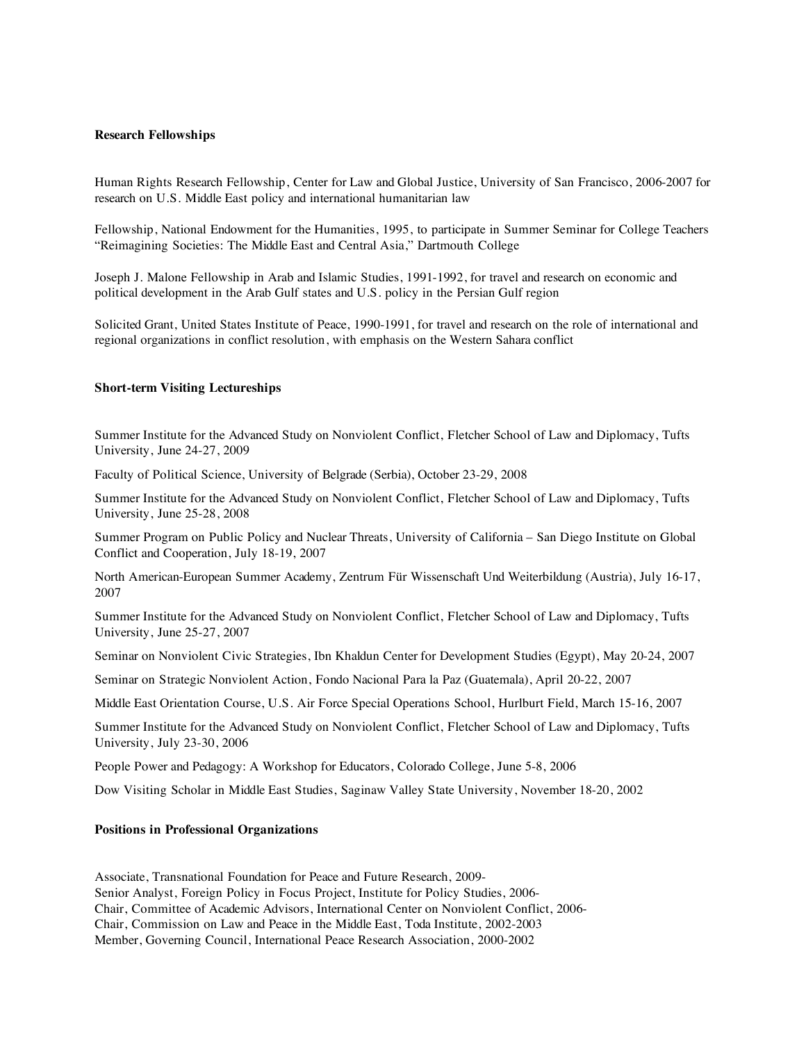## **Research Fellowships**

Human Rights Research Fellowship, Center for Law and Global Justice, University of San Francisco, 2006-2007 for research on U.S. Middle East policy and international humanitarian law

Fellowship, National Endowment for the Humanities, 1995, to participate in Summer Seminar for College Teachers "Reimagining Societies: The Middle East and Central Asia," Dartmouth College

Joseph J. Malone Fellowship in Arab and Islamic Studies, 1991-1992, for travel and research on economic and political development in the Arab Gulf states and U.S. policy in the Persian Gulf region

Solicited Grant, United States Institute of Peace, 1990-1991, for travel and research on the role of international and regional organizations in conflict resolution, with emphasis on the Western Sahara conflict

#### **Short-term Visiting Lectureships**

Summer Institute for the Advanced Study on Nonviolent Conflict, Fletcher School of Law and Diplomacy, Tufts University, June 24-27, 2009

Faculty of Political Science, University of Belgrade (Serbia), October 23-29, 2008

Summer Institute for the Advanced Study on Nonviolent Conflict, Fletcher School of Law and Diplomacy, Tufts University, June 25-28, 2008

Summer Program on Public Policy and Nuclear Threats, University of California – San Diego Institute on Global Conflict and Cooperation, July 18-19, 2007

North American-European Summer Academy, Zentrum Für Wissenschaft Und Weiterbildung (Austria), July 16-17, 2007

Summer Institute for the Advanced Study on Nonviolent Conflict, Fletcher School of Law and Diplomacy, Tufts University, June 25-27, 2007

Seminar on Nonviolent Civic Strategies, Ibn Khaldun Center for Development Studies (Egypt), May 20-24, 2007

Seminar on Strategic Nonviolent Action, Fondo Nacional Para la Paz (Guatemala), April 20-22, 2007

Middle East Orientation Course, U.S. Air Force Special Operations School, Hurlburt Field, March 15-16, 2007

Summer Institute for the Advanced Study on Nonviolent Conflict, Fletcher School of Law and Diplomacy, Tufts University, July 23-30, 2006

People Power and Pedagogy: A Workshop for Educators, Colorado College, June 5-8, 2006

Dow Visiting Scholar in Middle East Studies, Saginaw Valley State University, November 18-20, 2002

#### **Positions in Professional Organizations**

Associate, Transnational Foundation for Peace and Future Research, 2009- Senior Analyst, Foreign Policy in Focus Project, Institute for Policy Studies, 2006- Chair, Committee of Academic Advisors, International Center on Nonviolent Conflict, 2006- Chair, Commission on Law and Peace in the Middle East, Toda Institute, 2002-2003 Member, Governing Council, International Peace Research Association, 2000-2002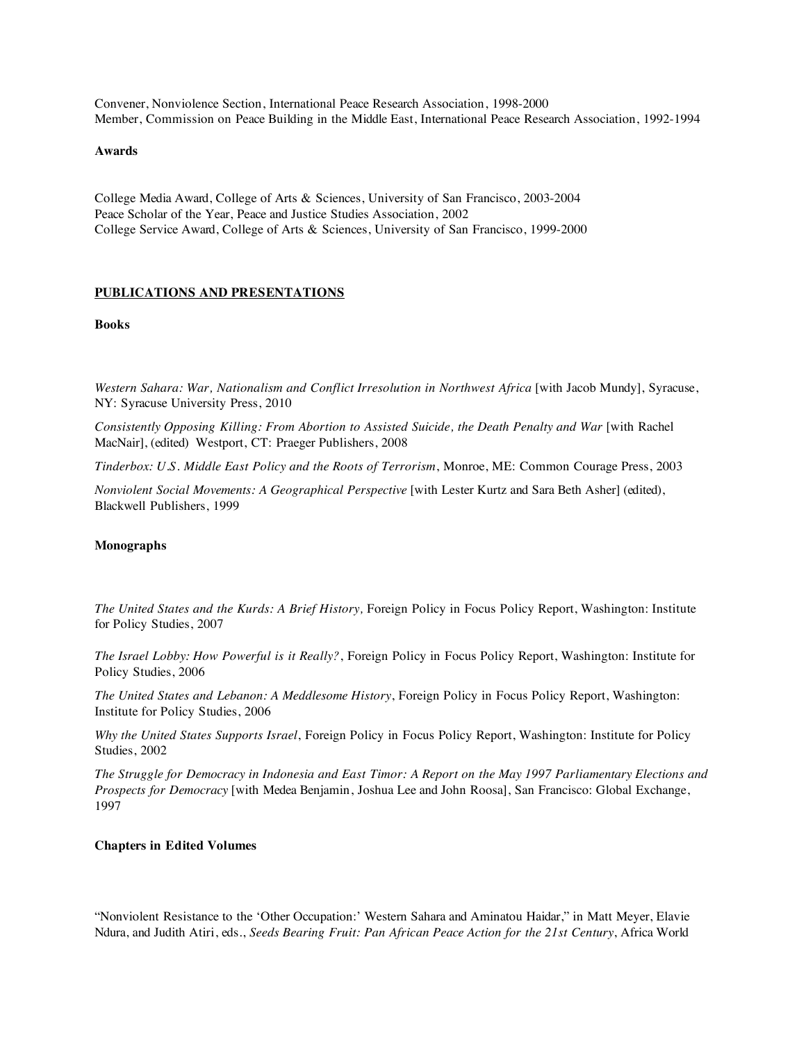Convener, Nonviolence Section, International Peace Research Association, 1998-2000 Member, Commission on Peace Building in the Middle East, International Peace Research Association, 1992-1994

# **Awards**

College Media Award, College of Arts & Sciences, University of San Francisco, 2003-2004 Peace Scholar of the Year, Peace and Justice Studies Association, 2002 College Service Award, College of Arts & Sciences, University of San Francisco, 1999-2000

#### **PUBLICATIONS AND PRESENTATIONS**

# **Books**

*Western Sahara: War, Nationalism and Conflict Irresolution in Northwest Africa* [with Jacob Mundy], Syracuse, NY: Syracuse University Press, 2010

*Consistently Opposing Killing: From Abortion to Assisted Suicide, the Death Penalty and War* [with Rachel MacNair], (edited) Westport, CT: Praeger Publishers, 2008

*Tinderbox: U.S. Middle East Policy and the Roots of Terrorism*, Monroe, ME: Common Courage Press, 2003

*Nonviolent Social Movements: A Geographical Perspective* [with Lester Kurtz and Sara Beth Asher] (edited), Blackwell Publishers, 1999

#### **Monographs**

*The United States and the Kurds: A Brief History,* Foreign Policy in Focus Policy Report, Washington: Institute for Policy Studies, 2007

*The Israel Lobby: How Powerful is it Really?*, Foreign Policy in Focus Policy Report, Washington: Institute for Policy Studies, 2006

*The United States and Lebanon: A Meddlesome History*, Foreign Policy in Focus Policy Report, Washington: Institute for Policy Studies, 2006

*Why the United States Supports Israel*, Foreign Policy in Focus Policy Report, Washington: Institute for Policy Studies, 2002

*The Struggle for Democracy in Indonesia and East Timor: A Report on the May 1997 Parliamentary Elections and Prospects for Democracy* [with Medea Benjamin, Joshua Lee and John Roosa], San Francisco: Global Exchange, 1997

#### **Chapters in Edited Volumes**

"Nonviolent Resistance to the 'Other Occupation:' Western Sahara and Aminatou Haidar," in Matt Meyer, Elavie Ndura, and Judith Atiri, eds., *Seeds Bearing Fruit: Pan African Peace Action for the 21st Century*, Africa World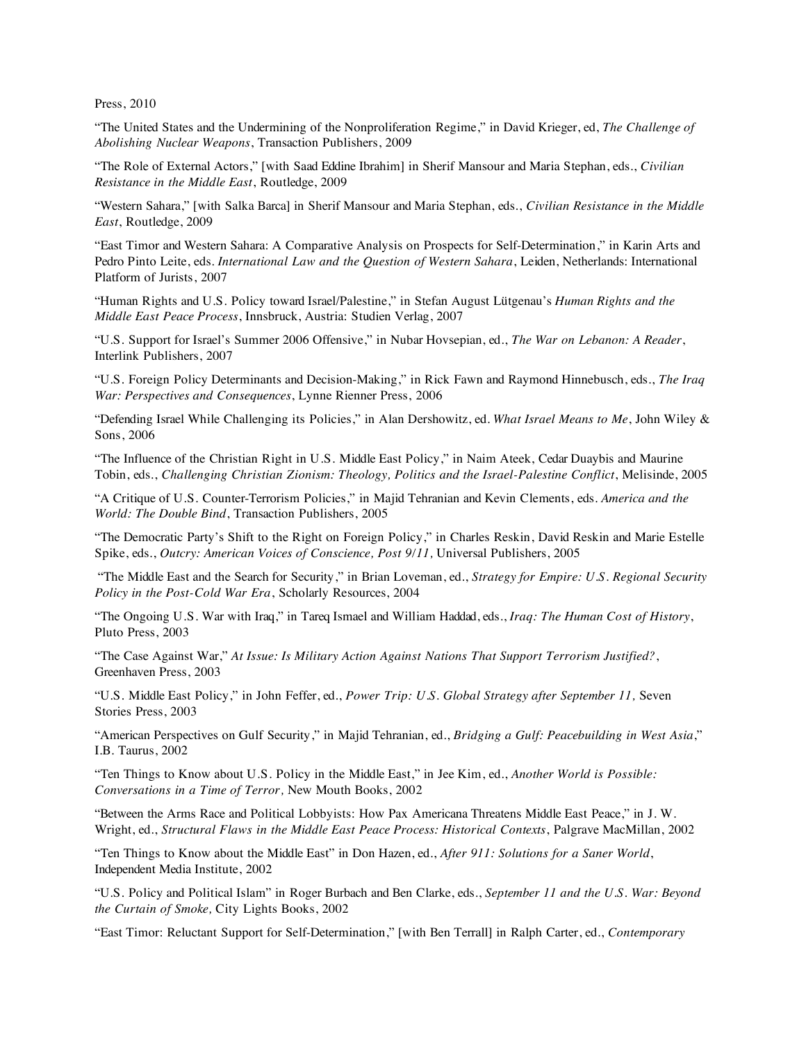Press, 2010

"The United States and the Undermining of the Nonproliferation Regime," in David Krieger, ed, *The Challenge of Abolishing Nuclear Weapons*, Transaction Publishers, 2009

"The Role of External Actors," [with Saad Eddine Ibrahim] in Sherif Mansour and Maria Stephan, eds., *Civilian Resistance in the Middle East*, Routledge, 2009

"Western Sahara," [with Salka Barca] in Sherif Mansour and Maria Stephan, eds., *Civilian Resistance in the Middle East*, Routledge, 2009

"East Timor and Western Sahara: A Comparative Analysis on Prospects for Self-Determination," in Karin Arts and Pedro Pinto Leite, eds. *International Law and the Question of Western Sahara*, Leiden, Netherlands: International Platform of Jurists, 2007

"Human Rights and U.S. Policy toward Israel/Palestine," in Stefan August Lütgenau's *Human Rights and the Middle East Peace Process*, Innsbruck, Austria: Studien Verlag, 2007

"U.S. Support for Israel's Summer 2006 Offensive," in Nubar Hovsepian, ed., *The War on Lebanon: A Reader*, Interlink Publishers, 2007

"U.S. Foreign Policy Determinants and Decision-Making," in Rick Fawn and Raymond Hinnebusch, eds., *The Iraq War: Perspectives and Consequences*, Lynne Rienner Press, 2006

"Defending Israel While Challenging its Policies," in Alan Dershowitz, ed. *What Israel Means to Me*, John Wiley & Sons, 2006

"The Influence of the Christian Right in U.S. Middle East Policy," in Naim Ateek, Cedar Duaybis and Maurine Tobin, eds., *Challenging Christian Zionism: Theology, Politics and the Israel-Palestine Conflict*, Melisinde, 2005

"A Critique of U.S. Counter-Terrorism Policies," in Majid Tehranian and Kevin Clements, eds. *America and the World: The Double Bind*, Transaction Publishers, 2005

"The Democratic Party's Shift to the Right on Foreign Policy," in Charles Reskin, David Reskin and Marie Estelle Spike, eds., *Outcry: American Voices of Conscience, Post 9/11,* Universal Publishers, 2005

"The Middle East and the Search for Security," in Brian Loveman, ed., *Strategy for Empire: U.S. Regional Security Policy in the Post-Cold War Era*, Scholarly Resources, 2004

"The Ongoing U.S. War with Iraq," in Tareq Ismael and William Haddad, eds., *Iraq: The Human Cost of History*, Pluto Press, 2003

"The Case Against War," *At Issue: Is Military Action Against Nations That Support Terrorism Justified?*, Greenhaven Press, 2003

"U.S. Middle East Policy," in John Feffer, ed., *Power Trip: U.S. Global Strategy after September 11,* Seven Stories Press, 2003

"American Perspectives on Gulf Security," in Majid Tehranian, ed., *Bridging a Gulf: Peacebuilding in West Asia*," I.B. Taurus, 2002

"Ten Things to Know about U.S. Policy in the Middle East," in Jee Kim, ed., *Another World is Possible: Conversations in a Time of Terror,* New Mouth Books, 2002

"Between the Arms Race and Political Lobbyists: How Pax Americana Threatens Middle East Peace," in J. W. Wright, ed., *Structural Flaws in the Middle East Peace Process: Historical Contexts*, Palgrave MacMillan, 2002

"Ten Things to Know about the Middle East" in Don Hazen, ed., *After 911: Solutions for a Saner World*, Independent Media Institute, 2002

"U.S. Policy and Political Islam" in Roger Burbach and Ben Clarke, eds., *September 11 and the U.S. War: Beyond the Curtain of Smoke,* City Lights Books, 2002

"East Timor: Reluctant Support for Self-Determination," [with Ben Terrall] in Ralph Carter, ed., *Contemporary*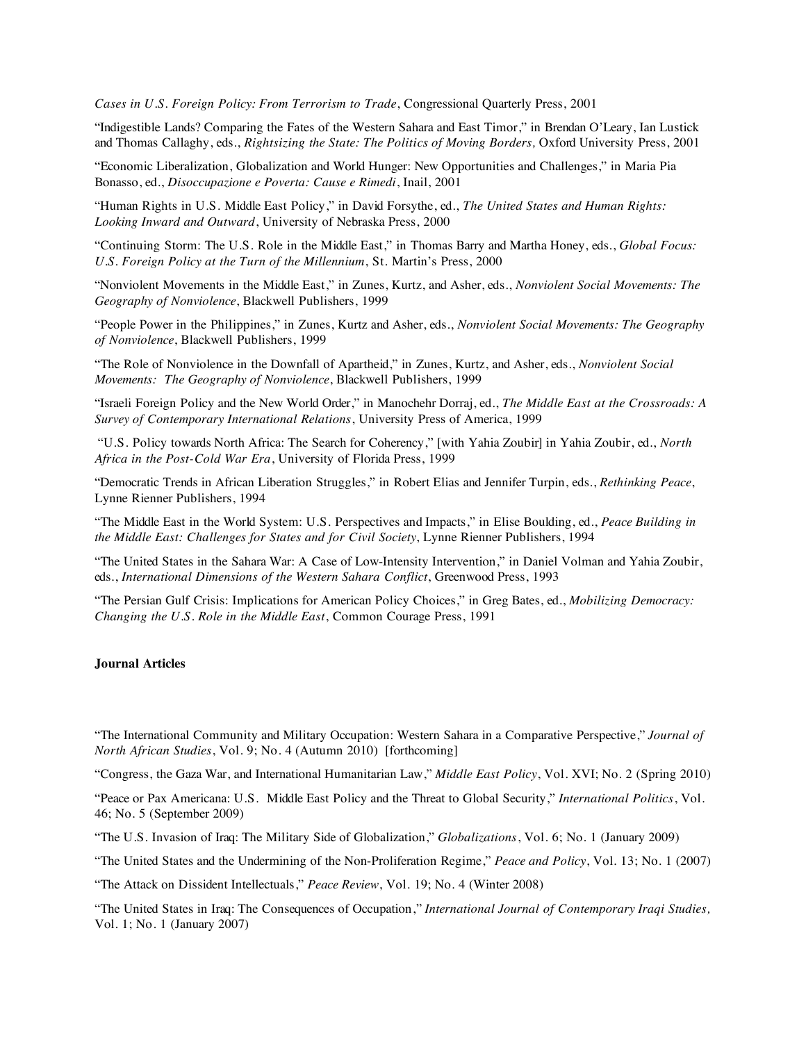*Cases in U.S. Foreign Policy: From Terrorism to Trade*, Congressional Quarterly Press, 2001

"Indigestible Lands? Comparing the Fates of the Western Sahara and East Timor," in Brendan O'Leary, Ian Lustick and Thomas Callaghy, eds., *Rightsizing the State: The Politics of Moving Borders,* Oxford University Press, 2001

"Economic Liberalization, Globalization and World Hunger: New Opportunities and Challenges," in Maria Pia Bonasso, ed., *Disoccupazione e Poverta: Cause e Rimedi*, Inail, 2001

"Human Rights in U.S. Middle East Policy," in David Forsythe, ed., *The United States and Human Rights: Looking Inward and Outward*, University of Nebraska Press, 2000

"Continuing Storm: The U.S. Role in the Middle East," in Thomas Barry and Martha Honey, eds., *Global Focus: U.S. Foreign Policy at the Turn of the Millennium*, St. Martin's Press, 2000

"Nonviolent Movements in the Middle East," in Zunes, Kurtz, and Asher, eds., *Nonviolent Social Movements: The Geography of Nonviolence*, Blackwell Publishers, 1999

"People Power in the Philippines," in Zunes, Kurtz and Asher, eds., *Nonviolent Social Movements: The Geography of Nonviolence*, Blackwell Publishers, 1999

"The Role of Nonviolence in the Downfall of Apartheid," in Zunes, Kurtz, and Asher, eds., *Nonviolent Social Movements: The Geography of Nonviolence*, Blackwell Publishers, 1999

"Israeli Foreign Policy and the New World Order," in Manochehr Dorraj, ed., *The Middle East at the Crossroads: A Survey of Contemporary International Relations*, University Press of America, 1999

 "U.S. Policy towards North Africa: The Search for Coherency," [with Yahia Zoubir] in Yahia Zoubir, ed., *North Africa in the Post-Cold War Era*, University of Florida Press, 1999

"Democratic Trends in African Liberation Struggles," in Robert Elias and Jennifer Turpin, eds., *Rethinking Peace*, Lynne Rienner Publishers, 1994

"The Middle East in the World System: U.S. Perspectives and Impacts," in Elise Boulding, ed., *Peace Building in the Middle East: Challenges for States and for Civil Society*, Lynne Rienner Publishers, 1994

"The United States in the Sahara War: A Case of Low-Intensity Intervention," in Daniel Volman and Yahia Zoubir, eds., *International Dimensions of the Western Sahara Conflict*, Greenwood Press, 1993

"The Persian Gulf Crisis: Implications for American Policy Choices," in Greg Bates, ed., *Mobilizing Democracy: Changing the U.S. Role in the Middle East*, Common Courage Press, 1991

### **Journal Articles**

"The International Community and Military Occupation: Western Sahara in a Comparative Perspective," *Journal of North African Studies*, Vol. 9; No. 4 (Autumn 2010) [forthcoming]

"Congress, the Gaza War, and International Humanitarian Law," *Middle East Policy*, Vol. XVI; No. 2 (Spring 2010)

"Peace or Pax Americana: U.S. Middle East Policy and the Threat to Global Security," *International Politics*, Vol. 46; No. 5 (September 2009)

"The U.S. Invasion of Iraq: The Military Side of Globalization," *Globalizations*, Vol. 6; No. 1 (January 2009)

"The United States and the Undermining of the Non-Proliferation Regime," *Peace and Policy*, Vol. 13; No. 1 (2007)

"The Attack on Dissident Intellectuals," *Peace Review*, Vol. 19; No. 4 (Winter 2008)

"The United States in Iraq: The Consequences of Occupation," *International Journal of Contemporary Iraqi Studies,* Vol. 1; No. 1 (January 2007)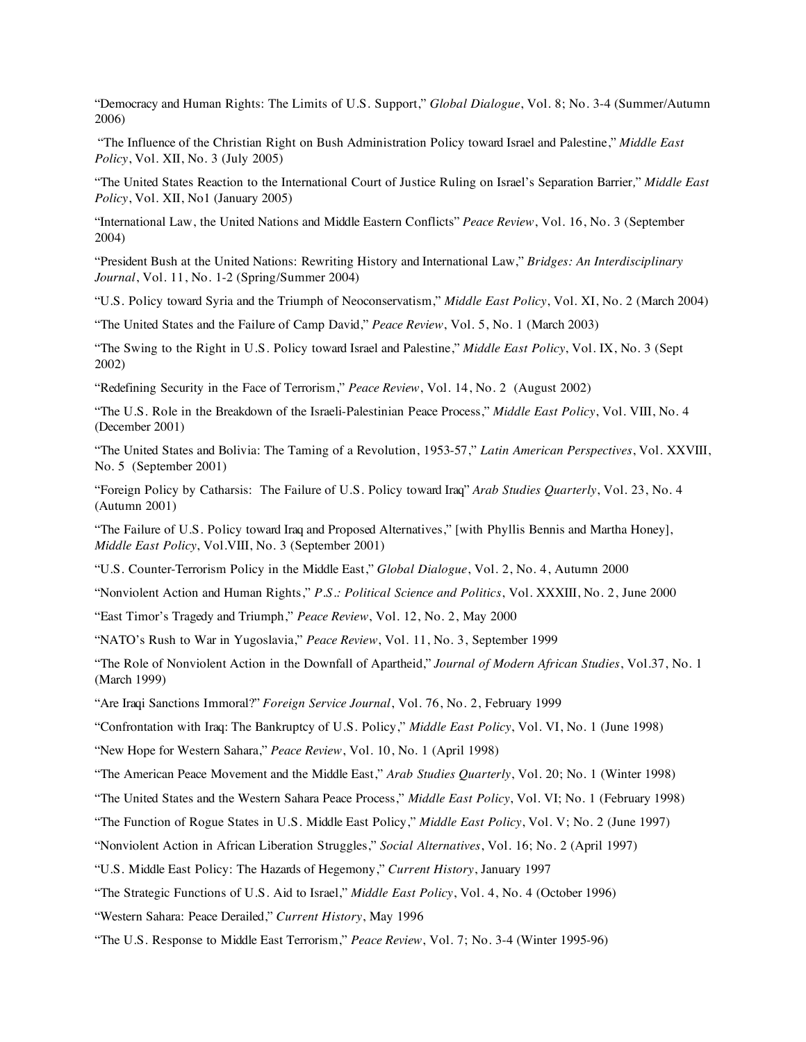"Democracy and Human Rights: The Limits of U.S. Support," *Global Dialogue*, Vol. 8; No. 3-4 (Summer/Autumn 2006)

 "The Influence of the Christian Right on Bush Administration Policy toward Israel and Palestine," *Middle East Policy*, Vol. XII, No. 3 (July 2005)

"The United States Reaction to the International Court of Justice Ruling on Israel's Separation Barrier*,*" *Middle East Policy*, Vol. XII, No1 (January 2005)

"International Law, the United Nations and Middle Eastern Conflicts" *Peace Review*, Vol. 16, No. 3 (September 2004)

"President Bush at the United Nations: Rewriting History and International Law," *Bridges: An Interdisciplinary Journal*, Vol. 11, No. 1-2 (Spring/Summer 2004)

"U.S. Policy toward Syria and the Triumph of Neoconservatism," *Middle East Policy*, Vol. XI, No. 2 (March 2004)

"The United States and the Failure of Camp David," *Peace Review*, Vol. 5, No. 1 (March 2003)

"The Swing to the Right in U.S. Policy toward Israel and Palestine," *Middle East Policy*, Vol. IX, No. 3 (Sept 2002)

"Redefining Security in the Face of Terrorism," *Peace Review*, Vol. 14, No. 2 (August 2002)

"The U.S. Role in the Breakdown of the Israeli-Palestinian Peace Process," *Middle East Policy*, Vol. VIII, No. 4 (December 2001)

"The United States and Bolivia: The Taming of a Revolution, 1953-57," *Latin American Perspectives*, Vol. XXVIII, No. 5 (September 2001)

"Foreign Policy by Catharsis: The Failure of U.S. Policy toward Iraq" *Arab Studies Quarterly*, Vol. 23, No. 4 (Autumn 2001)

"The Failure of U.S. Policy toward Iraq and Proposed Alternatives," [with Phyllis Bennis and Martha Honey], *Middle East Policy*, Vol.VIII, No. 3 (September 2001)

"U.S. Counter-Terrorism Policy in the Middle East," *Global Dialogue*, Vol. 2, No. 4, Autumn 2000

"Nonviolent Action and Human Rights," *P.S.: Political Science and Politics*, Vol. XXXIII, No. 2, June 2000

"East Timor's Tragedy and Triumph," *Peace Review*, Vol. 12, No. 2, May 2000

"NATO's Rush to War in Yugoslavia," *Peace Review*, Vol. 11, No. 3, September 1999

"The Role of Nonviolent Action in the Downfall of Apartheid," *Journal of Modern African Studies*, Vol.37, No. 1 (March 1999)

"Are Iraqi Sanctions Immoral?" *Foreign Service Journal*, Vol. 76, No. 2, February 1999

"Confrontation with Iraq: The Bankruptcy of U.S. Policy," *Middle East Policy*, Vol. VI, No. 1 (June 1998)

"New Hope for Western Sahara," *Peace Review*, Vol. 10, No. 1 (April 1998)

"The American Peace Movement and the Middle East," *Arab Studies Quarterly*, Vol. 20; No. 1 (Winter 1998)

"The United States and the Western Sahara Peace Process," *Middle East Policy*, Vol. VI; No. 1 (February 1998)

"The Function of Rogue States in U.S. Middle East Policy," *Middle East Policy*, Vol. V; No. 2 (June 1997)

"Nonviolent Action in African Liberation Struggles," *Social Alternatives*, Vol. 16; No. 2 (April 1997)

"U.S. Middle East Policy: The Hazards of Hegemony," *Current History*, January 1997

"The Strategic Functions of U.S. Aid to Israel," *Middle East Policy*, Vol. 4, No. 4 (October 1996)

"Western Sahara: Peace Derailed," *Current History*, May 1996

"The U.S. Response to Middle East Terrorism," *Peace Review*, Vol. 7; No. 3-4 (Winter 1995-96)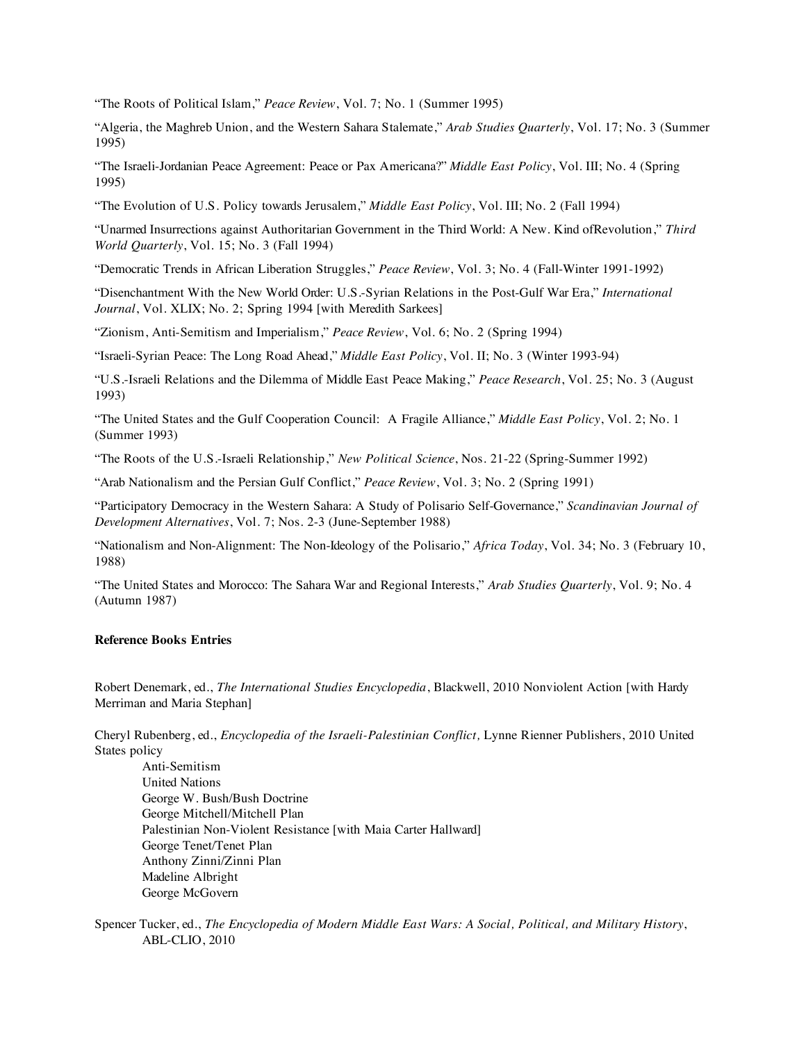"The Roots of Political Islam," *Peace Review*, Vol. 7; No. 1 (Summer 1995)

"Algeria, the Maghreb Union, and the Western Sahara Stalemate," *Arab Studies Quarterly*, Vol. 17; No. 3 (Summer 1995)

"The Israeli-Jordanian Peace Agreement: Peace or Pax Americana?" *Middle East Policy*, Vol. III; No. 4 (Spring 1995)

"The Evolution of U.S. Policy towards Jerusalem," *Middle East Policy*, Vol. III; No. 2 (Fall 1994)

"Unarmed Insurrections against Authoritarian Government in the Third World: A New. Kind ofRevolution," *Third World Quarterly*, Vol. 15; No. 3 (Fall 1994)

"Democratic Trends in African Liberation Struggles," *Peace Review*, Vol. 3; No. 4 (Fall-Winter 1991-1992)

"Disenchantment With the New World Order: U.S.-Syrian Relations in the Post-Gulf War Era," *International Journal*, Vol. XLIX; No. 2; Spring 1994 [with Meredith Sarkees]

"Zionism, Anti-Semitism and Imperialism," *Peace Review*, Vol. 6; No. 2 (Spring 1994)

"Israeli-Syrian Peace: The Long Road Ahead," *Middle East Policy*, Vol. II; No. 3 (Winter 1993-94)

"U.S.-Israeli Relations and the Dilemma of Middle East Peace Making," *Peace Research*, Vol. 25; No. 3 (August 1993)

"The United States and the Gulf Cooperation Council: A Fragile Alliance," *Middle East Policy*, Vol. 2; No. 1 (Summer 1993)

"The Roots of the U.S.-Israeli Relationship," *New Political Science*, Nos. 21-22 (Spring-Summer 1992)

"Arab Nationalism and the Persian Gulf Conflict," *Peace Review*, Vol. 3; No. 2 (Spring 1991)

"Participatory Democracy in the Western Sahara: A Study of Polisario Self-Governance," *Scandinavian Journal of Development Alternatives*, Vol. 7; Nos. 2-3 (June-September 1988)

"Nationalism and Non-Alignment: The Non-Ideology of the Polisario," *Africa Today*, Vol. 34; No. 3 (February 10, 1988)

"The United States and Morocco: The Sahara War and Regional Interests," *Arab Studies Quarterly*, Vol. 9; No. 4 (Autumn 1987)

#### **Reference Books Entries**

Robert Denemark, ed., *The International Studies Encyclopedia*, Blackwell, 2010 Nonviolent Action [with Hardy Merriman and Maria Stephan]

Cheryl Rubenberg, ed., *Encyclopedia of the Israeli-Palestinian Conflict,* Lynne Rienner Publishers, 2010 United States policy

Anti-Semitism United Nations George W. Bush/Bush Doctrine George Mitchell/Mitchell Plan Palestinian Non-Violent Resistance [with Maia Carter Hallward] George Tenet/Tenet Plan Anthony Zinni/Zinni Plan Madeline Albright George McGovern

Spencer Tucker, ed., *The Encyclopedia of Modern Middle East Wars: A Social, Political, and Military History*, ABL-CLIO, 2010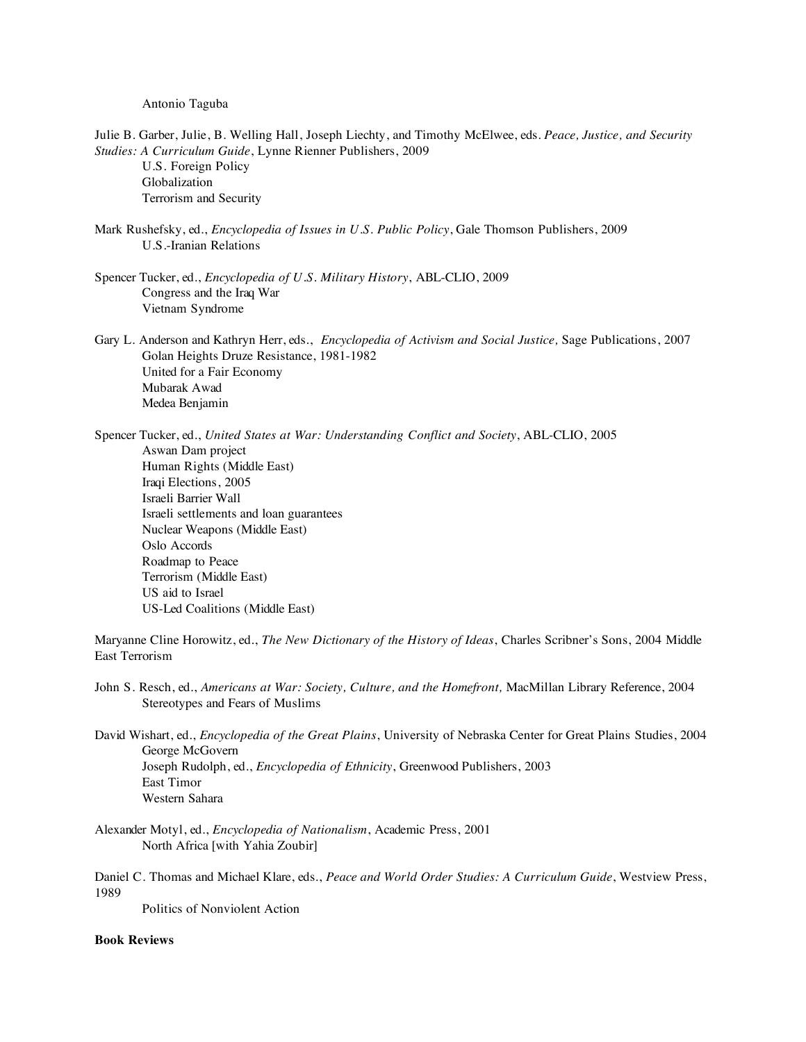#### Antonio Taguba

- Julie B. Garber, Julie, B. Welling Hall, Joseph Liechty, and Timothy McElwee, eds. *Peace, Justice, and Security Studies: A Curriculum Guide*, Lynne Rienner Publishers, 2009 U.S. Foreign Policy Globalization Terrorism and Security Mark Rushefsky, ed., *Encyclopedia of Issues in U.S. Public Policy*, Gale Thomson Publishers, 2009 U.S.-Iranian Relations
- Spencer Tucker, ed., *Encyclopedia of U.S. Military History*, ABL-CLIO, 2009 Congress and the Iraq War Vietnam Syndrome
- Gary L. Anderson and Kathryn Herr, eds., *Encyclopedia of Activism and Social Justice,* Sage Publications, 2007 Golan Heights Druze Resistance, 1981-1982 United for a Fair Economy Mubarak Awad Medea Benjamin

Spencer Tucker, ed., *United States at War: Understanding Conflict and Society*, ABL-CLIO, 2005 Aswan Dam project Human Rights (Middle East) Iraqi Elections, 2005 Israeli Barrier Wall Israeli settlements and loan guarantees Nuclear Weapons (Middle East) Oslo Accords Roadmap to Peace Terrorism (Middle East)

 US aid to Israel US-Led Coalitions (Middle East)

Maryanne Cline Horowitz, ed., *The New Dictionary of the History of Ideas*, Charles Scribner's Sons, 2004 Middle East Terrorism

- John S. Resch, ed., *Americans at War: Society, Culture, and the Homefront,* MacMillan Library Reference, 2004 Stereotypes and Fears of Muslims
- David Wishart, ed., *Encyclopedia of the Great Plains*, University of Nebraska Center for Great Plains Studies, 2004 George McGovern Joseph Rudolph, ed., *Encyclopedia of Ethnicity*, Greenwood Publishers, 2003 East Timor Western Sahara
- Alexander Motyl, ed., *Encyclopedia of Nationalism*, Academic Press, 2001 North Africa [with Yahia Zoubir]

Daniel C. Thomas and Michael Klare, eds., *Peace and World Order Studies: A Curriculum Guide*, Westview Press, 1989

Politics of Nonviolent Action

# **Book Reviews**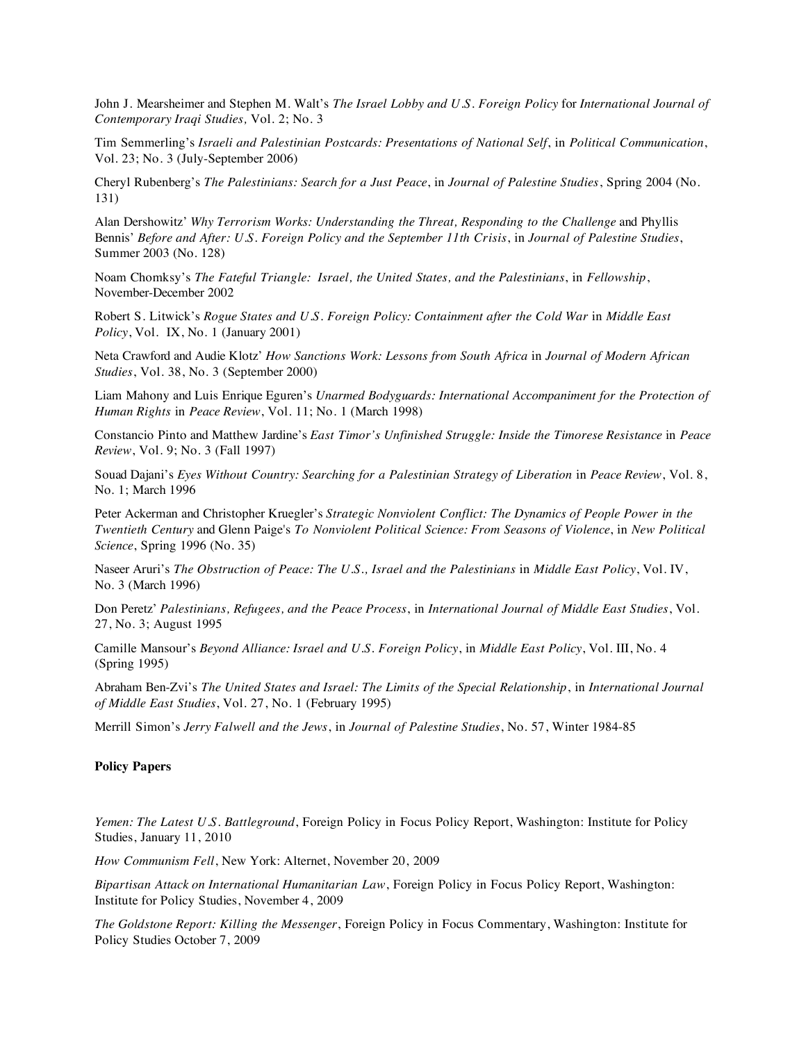John J. Mearsheimer and Stephen M. Walt's *The Israel Lobby and U.S. Foreign Policy* for *International Journal of Contemporary Iraqi Studies,* Vol. 2; No. 3

Tim Semmerling's *Israeli and Palestinian Postcards: Presentations of National Self*, in *Political Communication*, Vol. 23; No. 3 (July-September 2006)

Cheryl Rubenberg's *The Palestinians: Search for a Just Peace*, in *Journal of Palestine Studies*, Spring 2004 (No. 131)

Alan Dershowitz' *Why Terrorism Works: Understanding the Threat, Responding to the Challenge* and Phyllis Bennis' *Before and After: U.S. Foreign Policy and the September 11th Crisis*, in *Journal of Palestine Studies*, Summer 2003 (No. 128)

Noam Chomksy's *The Fateful Triangle: Israel, the United States, and the Palestinians*, in *Fellowship*, November-December 2002

Robert S. Litwick's *Rogue States and U.S. Foreign Policy: Containment after the Cold War* in *Middle East Policy*, Vol. IX, No. 1 (January 2001)

Neta Crawford and Audie Klotz' *How Sanctions Work: Lessons from South Africa* in *Journal of Modern African Studies*, Vol. 38, No. 3 (September 2000)

Liam Mahony and Luis Enrique Eguren's *Unarmed Bodyguards: International Accompaniment for the Protection of Human Rights* in *Peace Review*, Vol. 11; No. 1 (March 1998)

Constancio Pinto and Matthew Jardine's *East Timor's Unfinished Struggle: Inside the Timorese Resistance* in *Peace Review*, Vol. 9; No. 3 (Fall 1997)

Souad Dajani's *Eyes Without Country: Searching for a Palestinian Strategy of Liberation* in *Peace Review*, Vol. 8, No. 1; March 1996

Peter Ackerman and Christopher Kruegler's *Strategic Nonviolent Conflict: The Dynamics of People Power in the Twentieth Century* and Glenn Paige's *To Nonviolent Political Science: From Seasons of Violence*, in *New Political Science*, Spring 1996 (No. 35)

Naseer Aruri's *The Obstruction of Peace: The U.S., Israel and the Palestinians* in *Middle East Policy*, Vol. IV, No. 3 (March 1996)

Don Peretz' *Palestinians, Refugees, and the Peace Process*, in *International Journal of Middle East Studies*, Vol. 27, No. 3; August 1995

Camille Mansour's *Beyond Alliance: Israel and U.S. Foreign Policy*, in *Middle East Policy*, Vol. III, No. 4 (Spring 1995)

Abraham Ben-Zvi's *The United States and Israel: The Limits of the Special Relationship*, in *International Journal of Middle East Studies*, Vol. 27, No. 1 (February 1995)

Merrill Simon's *Jerry Falwell and the Jews*, in *Journal of Palestine Studies*, No. 57, Winter 1984-85

## **Policy Papers**

*Yemen: The Latest U.S. Battleground*, Foreign Policy in Focus Policy Report, Washington: Institute for Policy Studies, January 11, 2010

*How Communism Fell*, New York: Alternet, November 20, 2009

*Bipartisan Attack on International Humanitarian Law*, Foreign Policy in Focus Policy Report, Washington: Institute for Policy Studies, November 4, 2009

*The Goldstone Report: Killing the Messenger*, Foreign Policy in Focus Commentary, Washington: Institute for Policy Studies October 7, 2009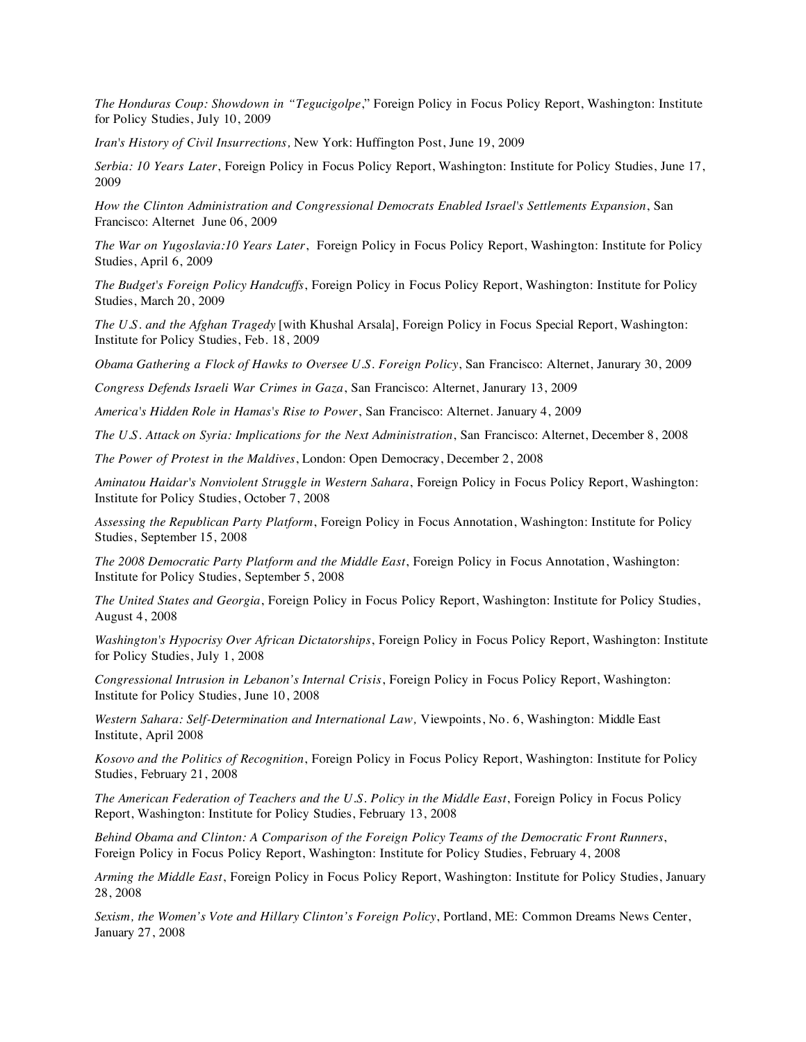*The Honduras Coup: Showdown in "Tegucigolpe*," Foreign Policy in Focus Policy Report, Washington: Institute for Policy Studies, July 10, 2009

*Iran's History of Civil Insurrections,* New York: Huffington Post, June 19, 2009

*Serbia: 10 Years Later*, Foreign Policy in Focus Policy Report, Washington: Institute for Policy Studies, June 17, 2009

*How the Clinton Administration and Congressional Democrats Enabled Israel's Settlements Expansion*, San Francisco: Alternet June 06, 2009

*The War on Yugoslavia:10 Years Later*, Foreign Policy in Focus Policy Report, Washington: Institute for Policy Studies, April 6, 2009

*The Budget's Foreign Policy Handcuffs*, Foreign Policy in Focus Policy Report, Washington: Institute for Policy Studies, March 20, 2009

*The U.S. and the Afghan Tragedy* [with Khushal Arsala], Foreign Policy in Focus Special Report, Washington: Institute for Policy Studies, Feb. 18, 2009

*Obama Gathering a Flock of Hawks to Oversee U.S. Foreign Policy*, San Francisco: Alternet, Janurary 30, 2009

*Congress Defends Israeli War Crimes in Gaza*, San Francisco: Alternet, Janurary 13, 2009

*America's Hidden Role in Hamas's Rise to Power*, San Francisco: Alternet. January 4, 2009

*The U.S. Attack on Syria: Implications for the Next Administration*, San Francisco: Alternet, December 8, 2008

*The Power of Protest in the Maldives*, London: Open Democracy, December 2, 2008

*Aminatou Haidar's Nonviolent Struggle in Western Sahara*, Foreign Policy in Focus Policy Report, Washington: Institute for Policy Studies, October 7, 2008

*Assessing the Republican Party Platform*, Foreign Policy in Focus Annotation, Washington: Institute for Policy Studies, September 15, 2008

*The 2008 Democratic Party Platform and the Middle East*, Foreign Policy in Focus Annotation, Washington: Institute for Policy Studies, September 5, 2008

*The United States and Georgia*, Foreign Policy in Focus Policy Report, Washington: Institute for Policy Studies, August 4, 2008

*Washington's Hypocrisy Over African Dictatorships*, Foreign Policy in Focus Policy Report, Washington: Institute for Policy Studies, July 1, 2008

*Congressional Intrusion in Lebanon's Internal Crisis*, Foreign Policy in Focus Policy Report, Washington: Institute for Policy Studies, June 10, 2008

*Western Sahara: Self-Determination and International Law,* Viewpoints, No. 6, Washington: Middle East Institute, April 2008

*Kosovo and the Politics of Recognition*, Foreign Policy in Focus Policy Report, Washington: Institute for Policy Studies, February 21, 2008

*The American Federation of Teachers and the U.S. Policy in the Middle East*, Foreign Policy in Focus Policy Report, Washington: Institute for Policy Studies, February 13, 2008

*Behind Obama and Clinton: A Comparison of the Foreign Policy Teams of the Democratic Front Runners*, Foreign Policy in Focus Policy Report, Washington: Institute for Policy Studies, February 4, 2008

*Arming the Middle East*, Foreign Policy in Focus Policy Report, Washington: Institute for Policy Studies, January 28, 2008

*Sexism, the Women's Vote and Hillary Clinton's Foreign Policy*, Portland, ME: Common Dreams News Center, January 27, 2008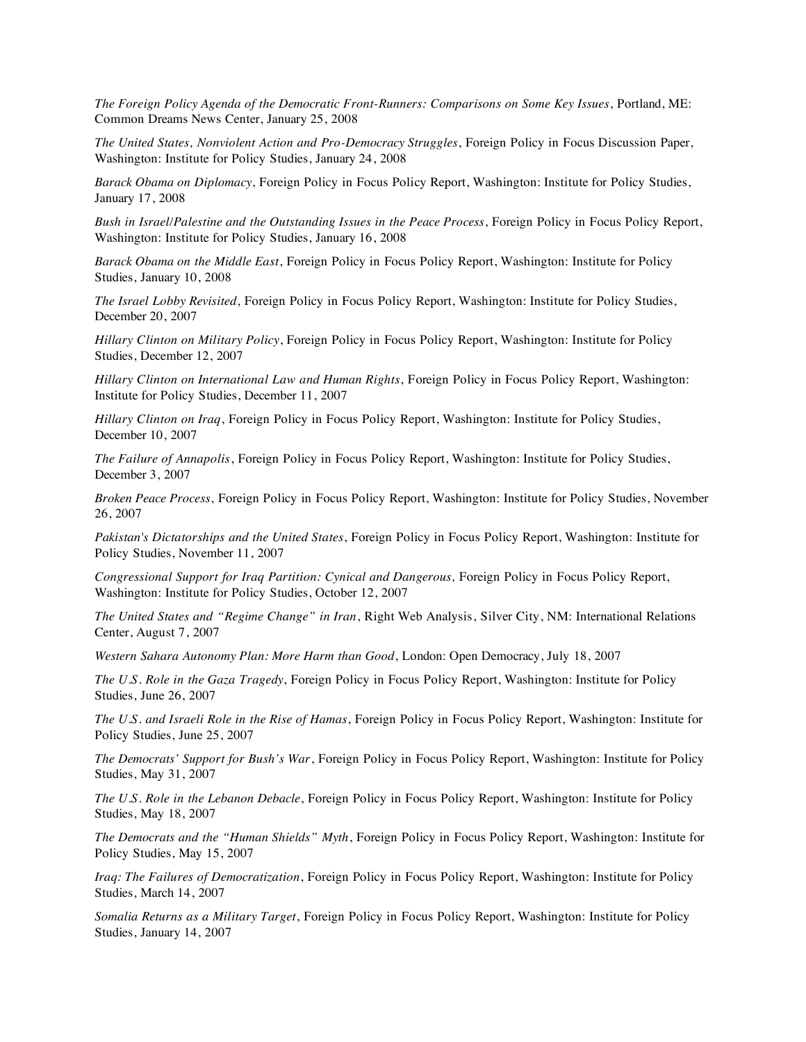*The Foreign Policy Agenda of the Democratic Front-Runners: Comparisons on Some Key Issues*, Portland, ME: Common Dreams News Center, January 25, 2008

*The United States, Nonviolent Action and Pro-Democracy Struggles*, Foreign Policy in Focus Discussion Paper, Washington: Institute for Policy Studies, January 24, 2008

*Barack Obama on Diplomacy*, Foreign Policy in Focus Policy Report, Washington: Institute for Policy Studies, January 17, 2008

*Bush in Israel/Palestine and the Outstanding Issues in the Peace Process*, Foreign Policy in Focus Policy Report, Washington: Institute for Policy Studies, January 16, 2008

*Barack Obama on the Middle East*, Foreign Policy in Focus Policy Report, Washington: Institute for Policy Studies, January 10, 2008

*The Israel Lobby Revisited*, Foreign Policy in Focus Policy Report, Washington: Institute for Policy Studies, December 20, 2007

*Hillary Clinton on Military Policy*, Foreign Policy in Focus Policy Report, Washington: Institute for Policy Studies, December 12, 2007

*Hillary Clinton on International Law and Human Rights*, Foreign Policy in Focus Policy Report, Washington: Institute for Policy Studies, December 11, 2007

*Hillary Clinton on Iraq*, Foreign Policy in Focus Policy Report, Washington: Institute for Policy Studies, December 10, 2007

*The Failure of Annapolis*, Foreign Policy in Focus Policy Report, Washington: Institute for Policy Studies, December 3, 2007

*Broken Peace Process*, Foreign Policy in Focus Policy Report, Washington: Institute for Policy Studies, November 26, 2007

*Pakistan's Dictatorships and the United States*, Foreign Policy in Focus Policy Report, Washington: Institute for Policy Studies, November 11, 2007

*Congressional Support for Iraq Partition: Cynical and Dangerous,* Foreign Policy in Focus Policy Report, Washington: Institute for Policy Studies, October 12, 2007

*The United States and "Regime Change" in Iran*, Right Web Analysis, Silver City, NM: International Relations Center, August 7, 2007

*Western Sahara Autonomy Plan: More Harm than Good*, London: Open Democracy, July 18, 2007

*The U.S. Role in the Gaza Tragedy*, Foreign Policy in Focus Policy Report, Washington: Institute for Policy Studies, June 26, 2007

*The U.S. and Israeli Role in the Rise of Hamas*, Foreign Policy in Focus Policy Report, Washington: Institute for Policy Studies, June 25, 2007

*The Democrats' Support for Bush's War*, Foreign Policy in Focus Policy Report, Washington: Institute for Policy Studies, May 31, 2007

*The U.S. Role in the Lebanon Debacle*, Foreign Policy in Focus Policy Report, Washington: Institute for Policy Studies, May 18, 2007

*The Democrats and the "Human Shields" Myth*, Foreign Policy in Focus Policy Report, Washington: Institute for Policy Studies, May 15, 2007

*Iraq: The Failures of Democratization*, Foreign Policy in Focus Policy Report, Washington: Institute for Policy Studies, March 14, 2007

*Somalia Returns as a Military Target*, Foreign Policy in Focus Policy Report, Washington: Institute for Policy Studies, January 14, 2007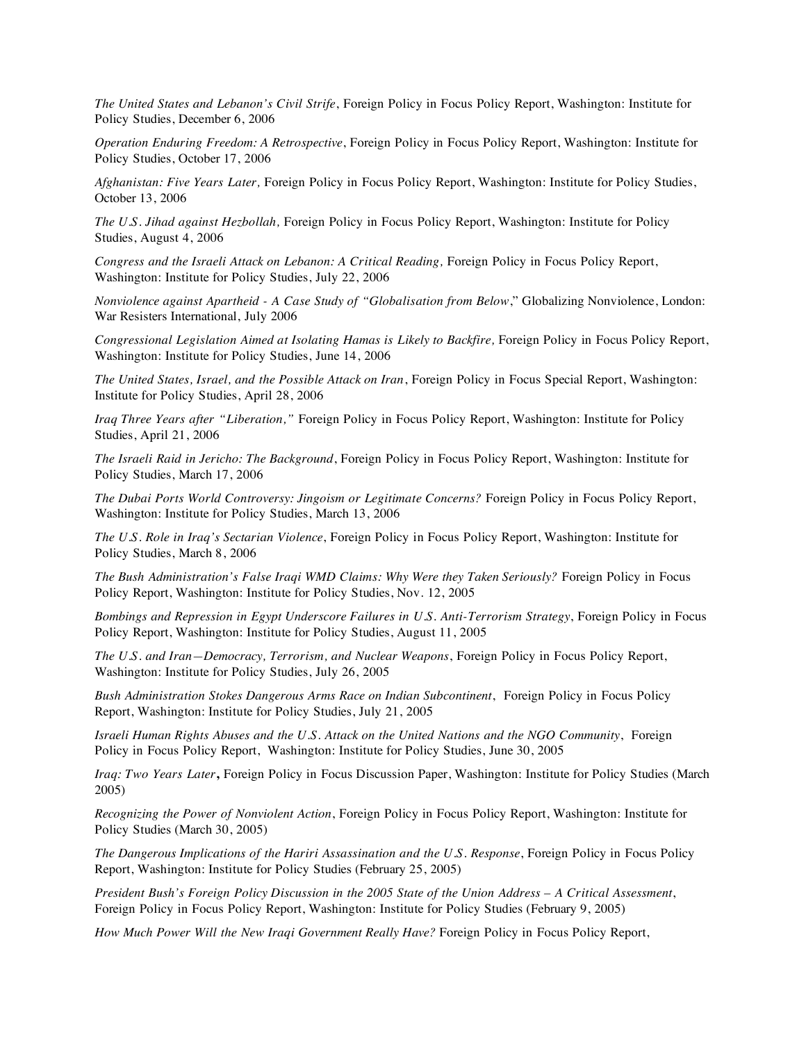*The United States and Lebanon's Civil Strife*, Foreign Policy in Focus Policy Report, Washington: Institute for Policy Studies, December 6, 2006

*Operation Enduring Freedom: A Retrospective*, Foreign Policy in Focus Policy Report, Washington: Institute for Policy Studies, October 17, 2006

*Afghanistan: Five Years Later,* Foreign Policy in Focus Policy Report, Washington: Institute for Policy Studies, October 13, 2006

*The U.S. Jihad against Hezbollah,* Foreign Policy in Focus Policy Report, Washington: Institute for Policy Studies, August 4, 2006

*Congress and the Israeli Attack on Lebanon: A Critical Reading,* Foreign Policy in Focus Policy Report, Washington: Institute for Policy Studies, July 22, 2006

*Nonviolence against Apartheid - A Case Study of "Globalisation from Below*," Globalizing Nonviolence, London: War Resisters International, July 2006

*Congressional Legislation Aimed at Isolating Hamas is Likely to Backfire,* Foreign Policy in Focus Policy Report, Washington: Institute for Policy Studies, June 14, 2006

*The United States, Israel, and the Possible Attack on Iran*, Foreign Policy in Focus Special Report, Washington: Institute for Policy Studies, April 28, 2006

*Iraq Three Years after "Liberation,"* Foreign Policy in Focus Policy Report, Washington: Institute for Policy Studies, April 21, 2006

*The Israeli Raid in Jericho: The Background*, Foreign Policy in Focus Policy Report, Washington: Institute for Policy Studies, March 17, 2006

*The Dubai Ports World Controversy: Jingoism or Legitimate Concerns?* Foreign Policy in Focus Policy Report, Washington: Institute for Policy Studies, March 13, 2006

*The U.S. Role in Iraq's Sectarian Violence*, Foreign Policy in Focus Policy Report, Washington: Institute for Policy Studies, March 8, 2006

*The Bush Administration's False Iraqi WMD Claims: Why Were they Taken Seriously?* Foreign Policy in Focus Policy Report, Washington: Institute for Policy Studies, Nov. 12, 2005

*Bombings and Repression in Egypt Underscore Failures in U.S. Anti-Terrorism Strategy*, Foreign Policy in Focus Policy Report, Washington: Institute for Policy Studies, August 11, 2005

*The U.S. and Iran—Democracy, Terrorism, and Nuclear Weapons*, Foreign Policy in Focus Policy Report, Washington: Institute for Policy Studies, July 26, 2005

*Bush Administration Stokes Dangerous Arms Race on Indian Subcontinent*, Foreign Policy in Focus Policy Report, Washington: Institute for Policy Studies, July 21, 2005

*Israeli Human Rights Abuses and the U.S. Attack on the United Nations and the NGO Community*, Foreign Policy in Focus Policy Report, Washington: Institute for Policy Studies, June 30, 2005

*Iraq: Two Years Later***,** Foreign Policy in Focus Discussion Paper, Washington: Institute for Policy Studies (March 2005)

*Recognizing the Power of Nonviolent Action*, Foreign Policy in Focus Policy Report, Washington: Institute for Policy Studies (March 30, 2005)

*The Dangerous Implications of the Hariri Assassination and the U.S. Response*, Foreign Policy in Focus Policy Report, Washington: Institute for Policy Studies (February 25, 2005)

*President Bush's Foreign Policy Discussion in the 2005 State of the Union Address – A Critical Assessment*, Foreign Policy in Focus Policy Report, Washington: Institute for Policy Studies (February 9, 2005)

*How Much Power Will the New Iraqi Government Really Have?* Foreign Policy in Focus Policy Report,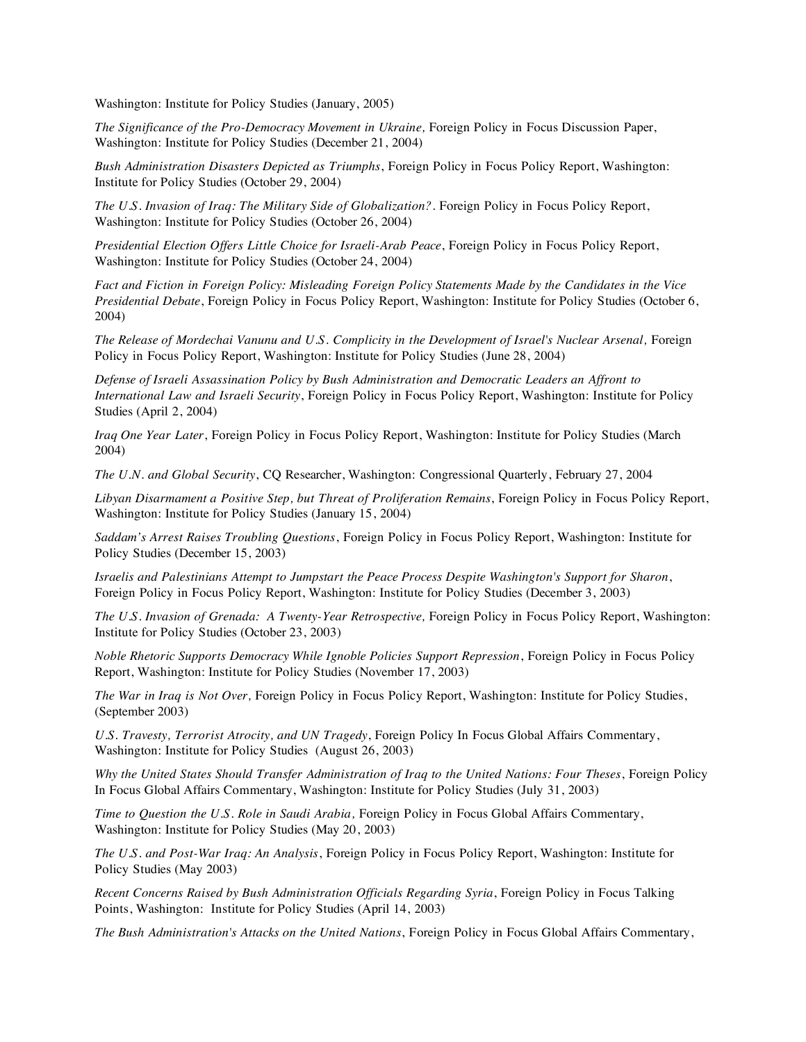Washington: Institute for Policy Studies (January, 2005)

*The Significance of the Pro-Democracy Movement in Ukraine,* Foreign Policy in Focus Discussion Paper, Washington: Institute for Policy Studies (December 21, 2004)

*Bush Administration Disasters Depicted as Triumphs*, Foreign Policy in Focus Policy Report, Washington: Institute for Policy Studies (October 29, 2004)

*The U.S. Invasion of Iraq: The Military Side of Globalization?*. Foreign Policy in Focus Policy Report, Washington: Institute for Policy Studies (October 26, 2004)

*Presidential Election Offers Little Choice for Israeli-Arab Peace*, Foreign Policy in Focus Policy Report, Washington: Institute for Policy Studies (October 24, 2004)

*Fact and Fiction in Foreign Policy: Misleading Foreign Policy Statements Made by the Candidates in the Vice Presidential Debate*, Foreign Policy in Focus Policy Report, Washington: Institute for Policy Studies (October 6, 2004)

*The Release of Mordechai Vanunu and U.S. Complicity in the Development of Israel's Nuclear Arsenal,* Foreign Policy in Focus Policy Report, Washington: Institute for Policy Studies (June 28, 2004)

*Defense of Israeli Assassination Policy by Bush Administration and Democratic Leaders an Affront to International Law and Israeli Security*, Foreign Policy in Focus Policy Report, Washington: Institute for Policy Studies (April 2, 2004)

*Iraq One Year Later*, Foreign Policy in Focus Policy Report, Washington: Institute for Policy Studies (March 2004)

*The U.N. and Global Security*, CQ Researcher, Washington: Congressional Quarterly, February 27, 2004

*Libyan Disarmament a Positive Step, but Threat of Proliferation Remains*, Foreign Policy in Focus Policy Report, Washington: Institute for Policy Studies (January 15, 2004)

*Saddam's Arrest Raises Troubling Questions*, Foreign Policy in Focus Policy Report, Washington: Institute for Policy Studies (December 15, 2003)

*Israelis and Palestinians Attempt to Jumpstart the Peace Process Despite Washington's Support for Sharon*, Foreign Policy in Focus Policy Report, Washington: Institute for Policy Studies (December 3, 2003)

*The U.S. Invasion of Grenada: A Twenty-Year Retrospective,* Foreign Policy in Focus Policy Report, Washington: Institute for Policy Studies (October 23, 2003)

*Noble Rhetoric Supports Democracy While Ignoble Policies Support Repression*, Foreign Policy in Focus Policy Report, Washington: Institute for Policy Studies (November 17, 2003)

*The War in Iraq is Not Over,* Foreign Policy in Focus Policy Report, Washington: Institute for Policy Studies, (September 2003)

*U.S. Travesty, Terrorist Atrocity, and UN Tragedy*, Foreign Policy In Focus Global Affairs Commentary, Washington: Institute for Policy Studies (August 26, 2003)

*Why the United States Should Transfer Administration of Iraq to the United Nations: Four Theses*, Foreign Policy In Focus Global Affairs Commentary, Washington: Institute for Policy Studies (July 31, 2003)

*Time to Question the U.S. Role in Saudi Arabia,* Foreign Policy in Focus Global Affairs Commentary, Washington: Institute for Policy Studies (May 20, 2003)

*The U.S. and Post-War Iraq: An Analysis*, Foreign Policy in Focus Policy Report, Washington: Institute for Policy Studies (May 2003)

*Recent Concerns Raised by Bush Administration Officials Regarding Syria*, Foreign Policy in Focus Talking Points, Washington: Institute for Policy Studies (April 14, 2003)

*The Bush Administration's Attacks on the United Nations*, Foreign Policy in Focus Global Affairs Commentary,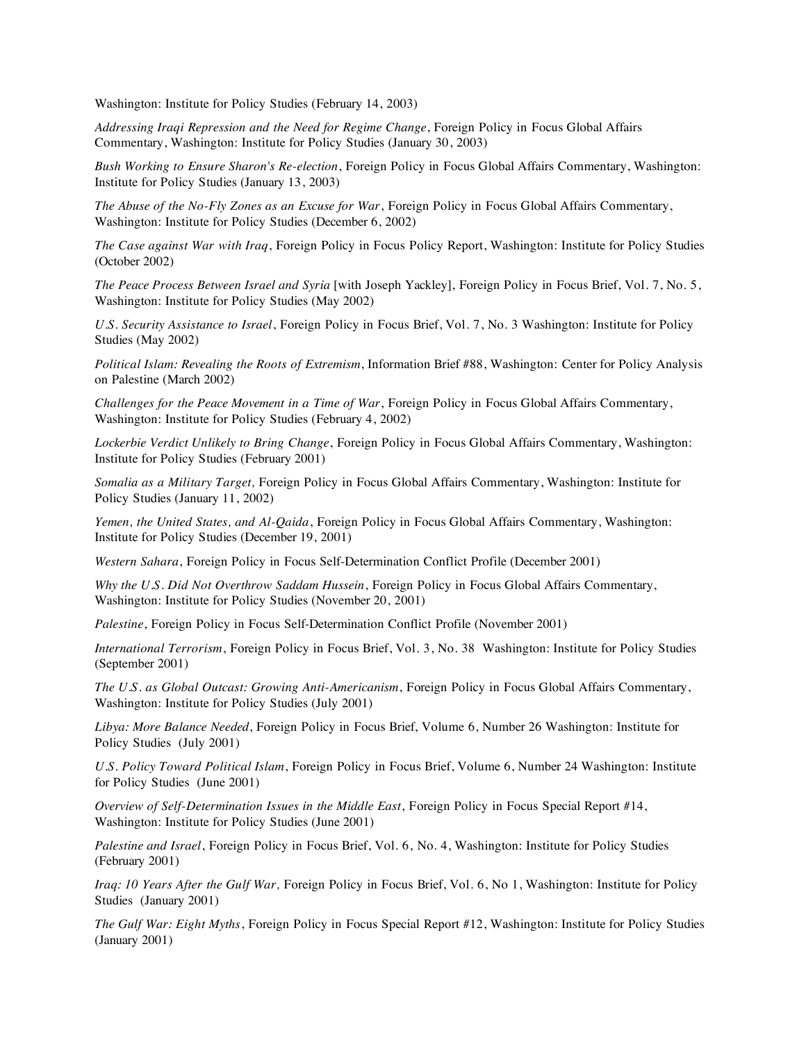Washington: Institute for Policy Studies (February 14, 2003)

*Addressing Iraqi Repression and the Need for Regime Change*, Foreign Policy in Focus Global Affairs Commentary, Washington: Institute for Policy Studies (January 30, 2003)

*Bush Working to Ensure Sharon's Re-election*, Foreign Policy in Focus Global Affairs Commentary, Washington: Institute for Policy Studies (January 13, 2003)

*The Abuse of the No-Fly Zones as an Excuse for War*, Foreign Policy in Focus Global Affairs Commentary, Washington: Institute for Policy Studies (December 6, 2002)

*The Case against War with Iraq*, Foreign Policy in Focus Policy Report, Washington: Institute for Policy Studies (October 2002)

*The Peace Process Between Israel and Syria* [with Joseph Yackley], Foreign Policy in Focus Brief, Vol. 7, No. 5, Washington: Institute for Policy Studies (May 2002)

*U.S. Security Assistance to Israel*, Foreign Policy in Focus Brief, Vol. 7, No. 3 Washington: Institute for Policy Studies (May 2002)

*Political Islam: Revealing the Roots of Extremism*, Information Brief #88, Washington: Center for Policy Analysis on Palestine (March 2002)

*Challenges for the Peace Movement in a Time of War*, Foreign Policy in Focus Global Affairs Commentary, Washington: Institute for Policy Studies (February 4, 2002)

*Lockerbie Verdict Unlikely to Bring Change*, Foreign Policy in Focus Global Affairs Commentary, Washington: Institute for Policy Studies (February 2001)

*Somalia as a Military Target,* Foreign Policy in Focus Global Affairs Commentary, Washington: Institute for Policy Studies (January 11, 2002)

*Yemen, the United States, and Al-Qaida*, Foreign Policy in Focus Global Affairs Commentary, Washington: Institute for Policy Studies (December 19, 2001)

*Western Sahara*, Foreign Policy in Focus Self-Determination Conflict Profile (December 2001)

*Why the U.S. Did Not Overthrow Saddam Hussein*, Foreign Policy in Focus Global Affairs Commentary, Washington: Institute for Policy Studies (November 20, 2001)

*Palestine*, Foreign Policy in Focus Self-Determination Conflict Profile (November 2001)

*International Terrorism*, Foreign Policy in Focus Brief, Vol. 3, No. 38 Washington: Institute for Policy Studies (September 2001)

*The U.S. as Global Outcast: Growing Anti-Americanism*, Foreign Policy in Focus Global Affairs Commentary, Washington: Institute for Policy Studies (July 2001)

*Libya: More Balance Needed*, Foreign Policy in Focus Brief, Volume 6, Number 26 Washington: Institute for Policy Studies (July 2001)

*U.S. Policy Toward Political Islam*, Foreign Policy in Focus Brief, Volume 6, Number 24 Washington: Institute for Policy Studies (June 2001)

*Overview of Self-Determination Issues in the Middle East*, Foreign Policy in Focus Special Report #14, Washington: Institute for Policy Studies (June 2001)

*Palestine and Israel*, Foreign Policy in Focus Brief, Vol. 6, No. 4, Washington: Institute for Policy Studies (February 2001)

*Iraq: 10 Years After the Gulf War,* Foreign Policy in Focus Brief, Vol. 6, No 1, Washington: Institute for Policy Studies (January 2001)

*The Gulf War: Eight Myths*, Foreign Policy in Focus Special Report #12, Washington: Institute for Policy Studies (January 2001)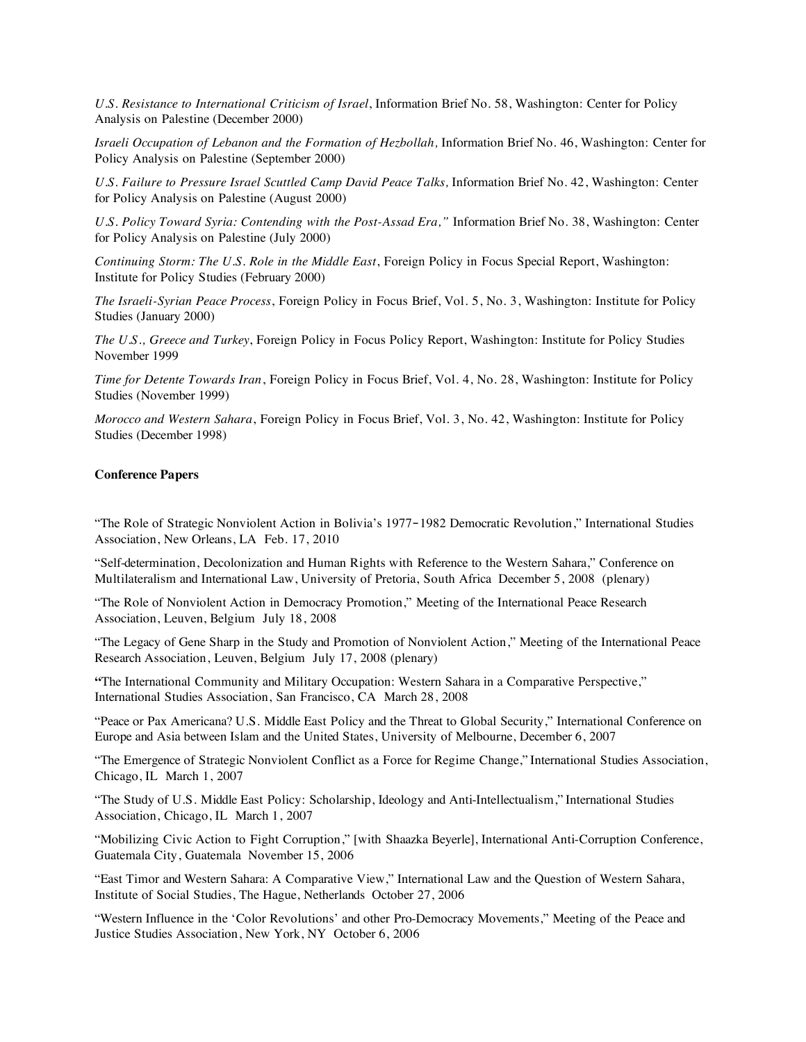*U.S. Resistance to International Criticism of Israel*, Information Brief No. 58, Washington: Center for Policy Analysis on Palestine (December 2000)

*Israeli Occupation of Lebanon and the Formation of Hezbollah,* Information Brief No. 46, Washington: Center for Policy Analysis on Palestine (September 2000)

*U.S. Failure to Pressure Israel Scuttled Camp David Peace Talks,* Information Brief No. 42, Washington: Center for Policy Analysis on Palestine (August 2000)

*U.S. Policy Toward Syria: Contending with the Post-Assad Era,"* Information Brief No. 38, Washington: Center for Policy Analysis on Palestine (July 2000)

*Continuing Storm: The U.S. Role in the Middle East*, Foreign Policy in Focus Special Report, Washington: Institute for Policy Studies (February 2000)

*The Israeli-Syrian Peace Process*, Foreign Policy in Focus Brief, Vol. 5, No. 3, Washington: Institute for Policy Studies (January 2000)

*The U.S., Greece and Turkey*, Foreign Policy in Focus Policy Report, Washington: Institute for Policy Studies November 1999

*Time for Detente Towards Iran*, Foreign Policy in Focus Brief, Vol. 4, No. 28, Washington: Institute for Policy Studies (November 1999)

*Morocco and Western Sahara*, Foreign Policy in Focus Brief, Vol. 3, No. 42, Washington: Institute for Policy Studies (December 1998)

# **Conference Papers**

"The Role of Strategic Nonviolent Action in Bolivia's 1977‐1982 Democratic Revolution," International Studies Association, New Orleans, LA Feb. 17, 2010

"Self-determination, Decolonization and Human Rights with Reference to the Western Sahara," Conference on Multilateralism and International Law, University of Pretoria, South Africa December 5, 2008 (plenary)

"The Role of Nonviolent Action in Democracy Promotion," Meeting of the International Peace Research Association, Leuven, Belgium July 18, 2008

"The Legacy of Gene Sharp in the Study and Promotion of Nonviolent Action," Meeting of the International Peace Research Association, Leuven, Belgium July 17, 2008 (plenary)

**"**The International Community and Military Occupation: Western Sahara in a Comparative Perspective," International Studies Association, San Francisco, CA March 28, 2008

"Peace or Pax Americana? U.S. Middle East Policy and the Threat to Global Security," International Conference on Europe and Asia between Islam and the United States, University of Melbourne, December 6, 2007

"The Emergence of Strategic Nonviolent Conflict as a Force for Regime Change," International Studies Association, Chicago, IL March 1, 2007

"The Study of U.S. Middle East Policy: Scholarship, Ideology and Anti-Intellectualism," International Studies Association, Chicago, IL March 1, 2007

"Mobilizing Civic Action to Fight Corruption," [with Shaazka Beyerle], International Anti-Corruption Conference, Guatemala City, Guatemala November 15, 2006

"East Timor and Western Sahara: A Comparative View," International Law and the Question of Western Sahara, Institute of Social Studies, The Hague, Netherlands October 27, 2006

"Western Influence in the 'Color Revolutions' and other Pro-Democracy Movements," Meeting of the Peace and Justice Studies Association, New York, NY October 6, 2006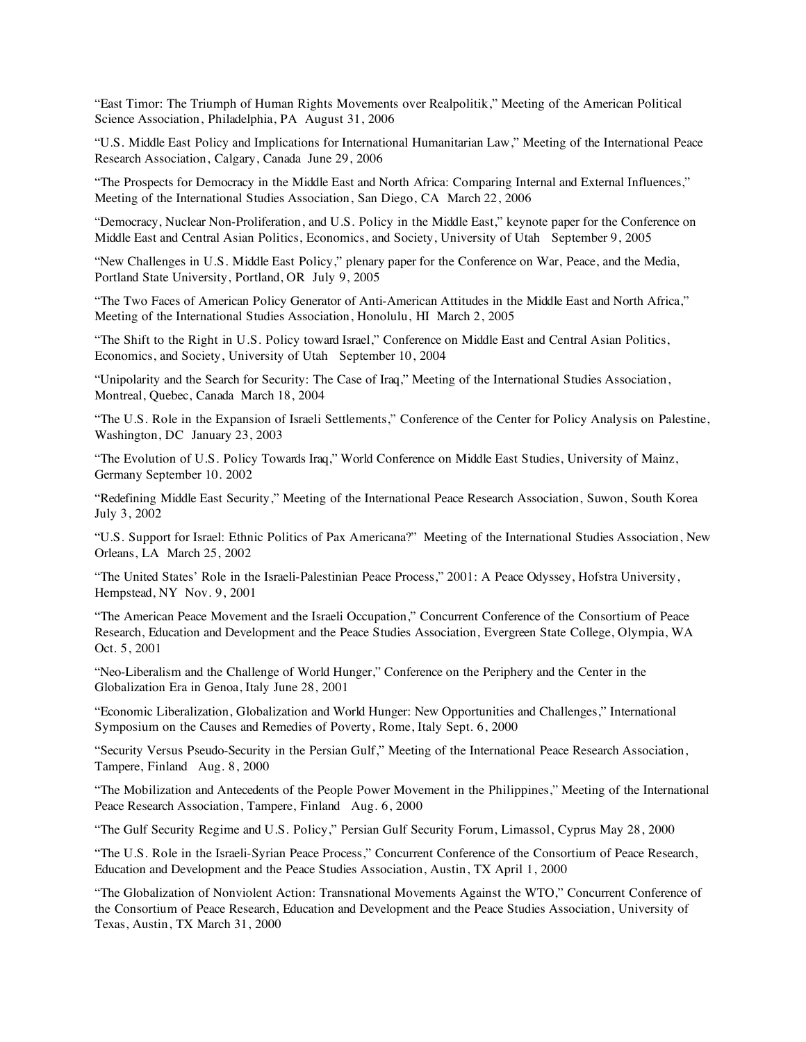"East Timor: The Triumph of Human Rights Movements over Realpolitik," Meeting of the American Political Science Association, Philadelphia, PA August 31, 2006

"U.S. Middle East Policy and Implications for International Humanitarian Law," Meeting of the International Peace Research Association, Calgary, Canada June 29, 2006

"The Prospects for Democracy in the Middle East and North Africa: Comparing Internal and External Influences," Meeting of the International Studies Association, San Diego, CA March 22, 2006

"Democracy, Nuclear Non-Proliferation, and U.S. Policy in the Middle East," keynote paper for the Conference on Middle East and Central Asian Politics, Economics, and Society, University of Utah September 9, 2005

"New Challenges in U.S. Middle East Policy," plenary paper for the Conference on War, Peace, and the Media, Portland State University, Portland, OR July 9, 2005

"The Two Faces of American Policy Generator of Anti-American Attitudes in the Middle East and North Africa," Meeting of the International Studies Association, Honolulu, HI March 2, 2005

"The Shift to the Right in U.S. Policy toward Israel," Conference on Middle East and Central Asian Politics, Economics, and Society, University of Utah September 10, 2004

"Unipolarity and the Search for Security: The Case of Iraq," Meeting of the International Studies Association, Montreal, Quebec, Canada March 18, 2004

"The U.S. Role in the Expansion of Israeli Settlements," Conference of the Center for Policy Analysis on Palestine, Washington, DC January 23, 2003

"The Evolution of U.S. Policy Towards Iraq," World Conference on Middle East Studies, University of Mainz, Germany September 10. 2002

"Redefining Middle East Security," Meeting of the International Peace Research Association, Suwon, South Korea July 3, 2002

"U.S. Support for Israel: Ethnic Politics of Pax Americana?" Meeting of the International Studies Association, New Orleans, LA March 25, 2002

"The United States' Role in the Israeli-Palestinian Peace Process," 2001: A Peace Odyssey, Hofstra University, Hempstead, NY Nov. 9, 2001

"The American Peace Movement and the Israeli Occupation," Concurrent Conference of the Consortium of Peace Research, Education and Development and the Peace Studies Association, Evergreen State College, Olympia, WA Oct. 5, 2001

"Neo-Liberalism and the Challenge of World Hunger," Conference on the Periphery and the Center in the Globalization Era in Genoa, Italy June 28, 2001

"Economic Liberalization, Globalization and World Hunger: New Opportunities and Challenges," International Symposium on the Causes and Remedies of Poverty, Rome, Italy Sept. 6, 2000

"Security Versus Pseudo-Security in the Persian Gulf," Meeting of the International Peace Research Association, Tampere, Finland Aug. 8, 2000

"The Mobilization and Antecedents of the People Power Movement in the Philippines," Meeting of the International Peace Research Association, Tampere, Finland Aug. 6, 2000

"The Gulf Security Regime and U.S. Policy," Persian Gulf Security Forum, Limassol, Cyprus May 28, 2000

"The U.S. Role in the Israeli-Syrian Peace Process," Concurrent Conference of the Consortium of Peace Research, Education and Development and the Peace Studies Association, Austin, TX April 1, 2000

"The Globalization of Nonviolent Action: Transnational Movements Against the WTO," Concurrent Conference of the Consortium of Peace Research, Education and Development and the Peace Studies Association, University of Texas, Austin, TX March 31, 2000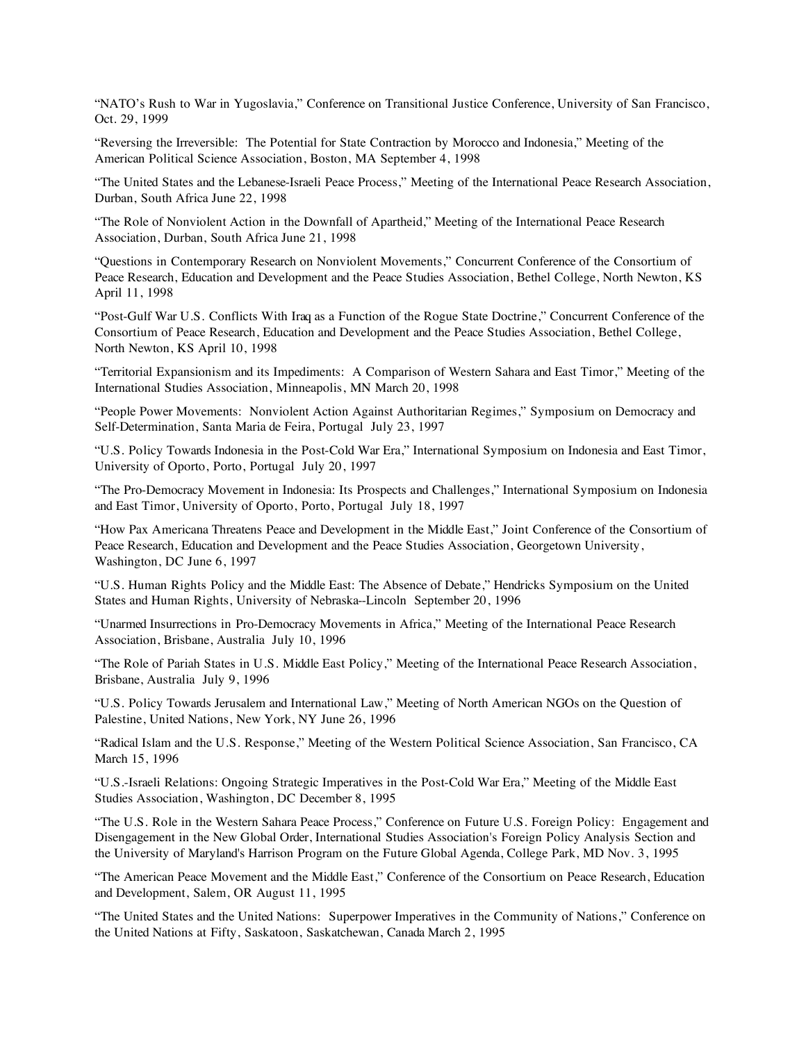"NATO's Rush to War in Yugoslavia," Conference on Transitional Justice Conference, University of San Francisco, Oct. 29, 1999

"Reversing the Irreversible: The Potential for State Contraction by Morocco and Indonesia," Meeting of the American Political Science Association, Boston, MA September 4, 1998

"The United States and the Lebanese-Israeli Peace Process," Meeting of the International Peace Research Association, Durban, South Africa June 22, 1998

"The Role of Nonviolent Action in the Downfall of Apartheid," Meeting of the International Peace Research Association, Durban, South Africa June 21, 1998

"Questions in Contemporary Research on Nonviolent Movements," Concurrent Conference of the Consortium of Peace Research, Education and Development and the Peace Studies Association, Bethel College, North Newton, KS April 11, 1998

"Post-Gulf War U.S. Conflicts With Iraq as a Function of the Rogue State Doctrine," Concurrent Conference of the Consortium of Peace Research, Education and Development and the Peace Studies Association, Bethel College, North Newton, KS April 10, 1998

"Territorial Expansionism and its Impediments: A Comparison of Western Sahara and East Timor," Meeting of the International Studies Association, Minneapolis, MN March 20, 1998

"People Power Movements: Nonviolent Action Against Authoritarian Regimes," Symposium on Democracy and Self-Determination, Santa Maria de Feira, Portugal July 23, 1997

"U.S. Policy Towards Indonesia in the Post-Cold War Era," International Symposium on Indonesia and East Timor, University of Oporto, Porto, Portugal July 20, 1997

"The Pro-Democracy Movement in Indonesia: Its Prospects and Challenges," International Symposium on Indonesia and East Timor, University of Oporto, Porto, Portugal July 18, 1997

"How Pax Americana Threatens Peace and Development in the Middle East," Joint Conference of the Consortium of Peace Research, Education and Development and the Peace Studies Association, Georgetown University, Washington, DC June 6, 1997

"U.S. Human Rights Policy and the Middle East: The Absence of Debate," Hendricks Symposium on the United States and Human Rights, University of Nebraska--Lincoln September 20, 1996

"Unarmed Insurrections in Pro-Democracy Movements in Africa," Meeting of the International Peace Research Association, Brisbane, Australia July 10, 1996

"The Role of Pariah States in U.S. Middle East Policy," Meeting of the International Peace Research Association, Brisbane, Australia July 9, 1996

"U.S. Policy Towards Jerusalem and International Law," Meeting of North American NGOs on the Question of Palestine, United Nations, New York, NY June 26, 1996

"Radical Islam and the U.S. Response," Meeting of the Western Political Science Association, San Francisco, CA March 15, 1996

"U.S.-Israeli Relations: Ongoing Strategic Imperatives in the Post-Cold War Era," Meeting of the Middle East Studies Association, Washington, DC December 8, 1995

"The U.S. Role in the Western Sahara Peace Process," Conference on Future U.S. Foreign Policy: Engagement and Disengagement in the New Global Order, International Studies Association's Foreign Policy Analysis Section and the University of Maryland's Harrison Program on the Future Global Agenda, College Park, MD Nov. 3, 1995

"The American Peace Movement and the Middle East," Conference of the Consortium on Peace Research, Education and Development, Salem, OR August 11, 1995

"The United States and the United Nations: Superpower Imperatives in the Community of Nations," Conference on the United Nations at Fifty, Saskatoon, Saskatchewan, Canada March 2, 1995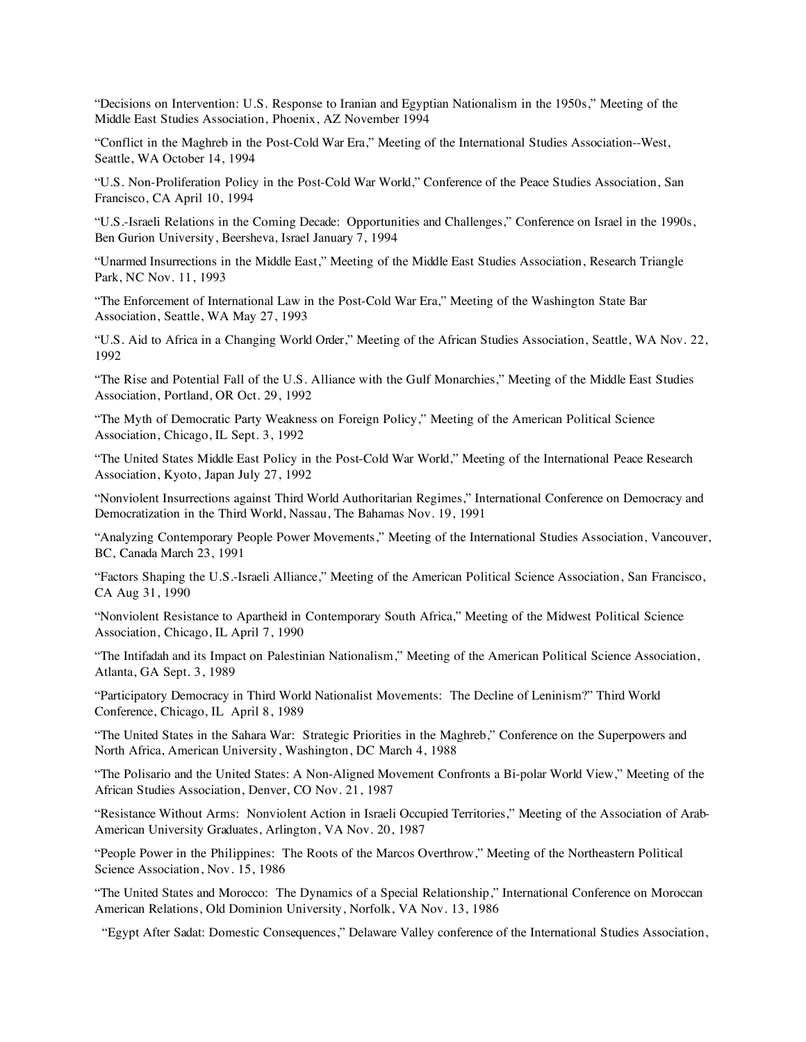"Decisions on Intervention: U.S. Response to Iranian and Egyptian Nationalism in the 1950s," Meeting of the Middle East Studies Association, Phoenix, AZ November 1994

"Conflict in the Maghreb in the Post-Cold War Era," Meeting of the International Studies Association--West, Seattle, WA October 14, 1994

"U.S. Non-Proliferation Policy in the Post-Cold War World," Conference of the Peace Studies Association, San Francisco, CA April 10, 1994

"U.S.-Israeli Relations in the Coming Decade: Opportunities and Challenges," Conference on Israel in the 1990s, Ben Gurion University, Beersheva, Israel January 7, 1994

"Unarmed Insurrections in the Middle East," Meeting of the Middle East Studies Association, Research Triangle Park, NC Nov. 11, 1993

"The Enforcement of International Law in the Post-Cold War Era," Meeting of the Washington State Bar Association, Seattle, WA May 27, 1993

"U.S. Aid to Africa in a Changing World Order," Meeting of the African Studies Association, Seattle, WA Nov. 22, 1992

"The Rise and Potential Fall of the U.S. Alliance with the Gulf Monarchies," Meeting of the Middle East Studies Association, Portland, OR Oct. 29, 1992

"The Myth of Democratic Party Weakness on Foreign Policy," Meeting of the American Political Science Association, Chicago, IL Sept. 3, 1992

"The United States Middle East Policy in the Post-Cold War World," Meeting of the International Peace Research Association, Kyoto, Japan July 27, 1992

"Nonviolent Insurrections against Third World Authoritarian Regimes," International Conference on Democracy and Democratization in the Third World, Nassau, The Bahamas Nov. 19, 1991

"Analyzing Contemporary People Power Movements," Meeting of the International Studies Association, Vancouver, BC, Canada March 23, 1991

"Factors Shaping the U.S.-Israeli Alliance," Meeting of the American Political Science Association, San Francisco, CA Aug 31, 1990

"Nonviolent Resistance to Apartheid in Contemporary South Africa," Meeting of the Midwest Political Science Association, Chicago, IL April 7, 1990

"The Intifadah and its Impact on Palestinian Nationalism," Meeting of the American Political Science Association, Atlanta, GA Sept. 3, 1989

"Participatory Democracy in Third World Nationalist Movements: The Decline of Leninism?" Third World Conference, Chicago, IL April 8, 1989

"The United States in the Sahara War: Strategic Priorities in the Maghreb," Conference on the Superpowers and North Africa, American University, Washington, DC March 4, 1988

"The Polisario and the United States: A Non-Aligned Movement Confronts a Bi-polar World View," Meeting of the African Studies Association, Denver, CO Nov. 21, 1987

"Resistance Without Arms: Nonviolent Action in Israeli Occupied Territories," Meeting of the Association of Arab-American University Graduates, Arlington, VA Nov. 20, 1987

"People Power in the Philippines: The Roots of the Marcos Overthrow," Meeting of the Northeastern Political Science Association, Nov. 15, 1986

"The United States and Morocco: The Dynamics of a Special Relationship," International Conference on Moroccan American Relations, Old Dominion University, Norfolk, VA Nov. 13, 1986

"Egypt After Sadat: Domestic Consequences," Delaware Valley conference of the International Studies Association,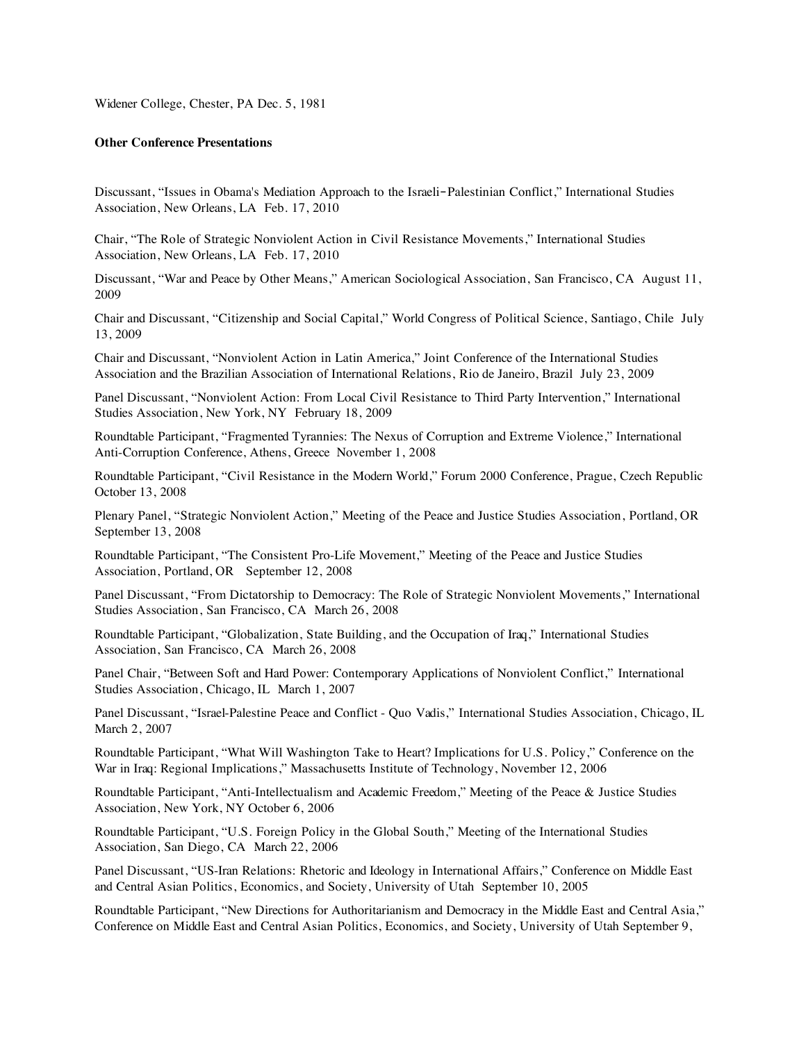Widener College, Chester, PA Dec. 5, 1981

### **Other Conference Presentations**

Discussant, "Issues in Obama's Mediation Approach to the Israeli‐Palestinian Conflict," International Studies Association, New Orleans, LA Feb. 17, 2010

Chair, "The Role of Strategic Nonviolent Action in Civil Resistance Movements," International Studies Association, New Orleans, LA Feb. 17, 2010

Discussant, "War and Peace by Other Means," American Sociological Association, San Francisco, CA August 11, 2009

Chair and Discussant, "Citizenship and Social Capital," World Congress of Political Science, Santiago, Chile July 13, 2009

Chair and Discussant, "Nonviolent Action in Latin America," Joint Conference of the International Studies Association and the Brazilian Association of International Relations, Rio de Janeiro, Brazil July 23, 2009

Panel Discussant, "Nonviolent Action: From Local Civil Resistance to Third Party Intervention," International Studies Association, New York, NY February 18, 2009

Roundtable Participant, "Fragmented Tyrannies: The Nexus of Corruption and Extreme Violence," International Anti-Corruption Conference, Athens, Greece November 1, 2008

Roundtable Participant, "Civil Resistance in the Modern World," Forum 2000 Conference, Prague, Czech Republic October 13, 2008

Plenary Panel, "Strategic Nonviolent Action," Meeting of the Peace and Justice Studies Association, Portland, OR September 13, 2008

Roundtable Participant, "The Consistent Pro-Life Movement," Meeting of the Peace and Justice Studies Association, Portland, OR September 12, 2008

Panel Discussant, "From Dictatorship to Democracy: The Role of Strategic Nonviolent Movements," International Studies Association, San Francisco, CA March 26, 2008

Roundtable Participant, "Globalization, State Building, and the Occupation of Iraq," International Studies Association, San Francisco, CA March 26, 2008

Panel Chair, "Between Soft and Hard Power: Contemporary Applications of Nonviolent Conflict," International Studies Association, Chicago, IL March 1, 2007

Panel Discussant, "Israel-Palestine Peace and Conflict - Quo Vadis," International Studies Association, Chicago, IL March 2, 2007

Roundtable Participant, "What Will Washington Take to Heart? Implications for U.S. Policy," Conference on the War in Iraq: Regional Implications," Massachusetts Institute of Technology, November 12, 2006

Roundtable Participant, "Anti-Intellectualism and Academic Freedom," Meeting of the Peace & Justice Studies Association, New York, NY October 6, 2006

Roundtable Participant, "U.S. Foreign Policy in the Global South," Meeting of the International Studies Association, San Diego, CA March 22, 2006

Panel Discussant, "US-Iran Relations: Rhetoric and Ideology in International Affairs," Conference on Middle East and Central Asian Politics, Economics, and Society, University of Utah September 10, 2005

Roundtable Participant, "New Directions for Authoritarianism and Democracy in the Middle East and Central Asia," Conference on Middle East and Central Asian Politics, Economics, and Society, University of Utah September 9,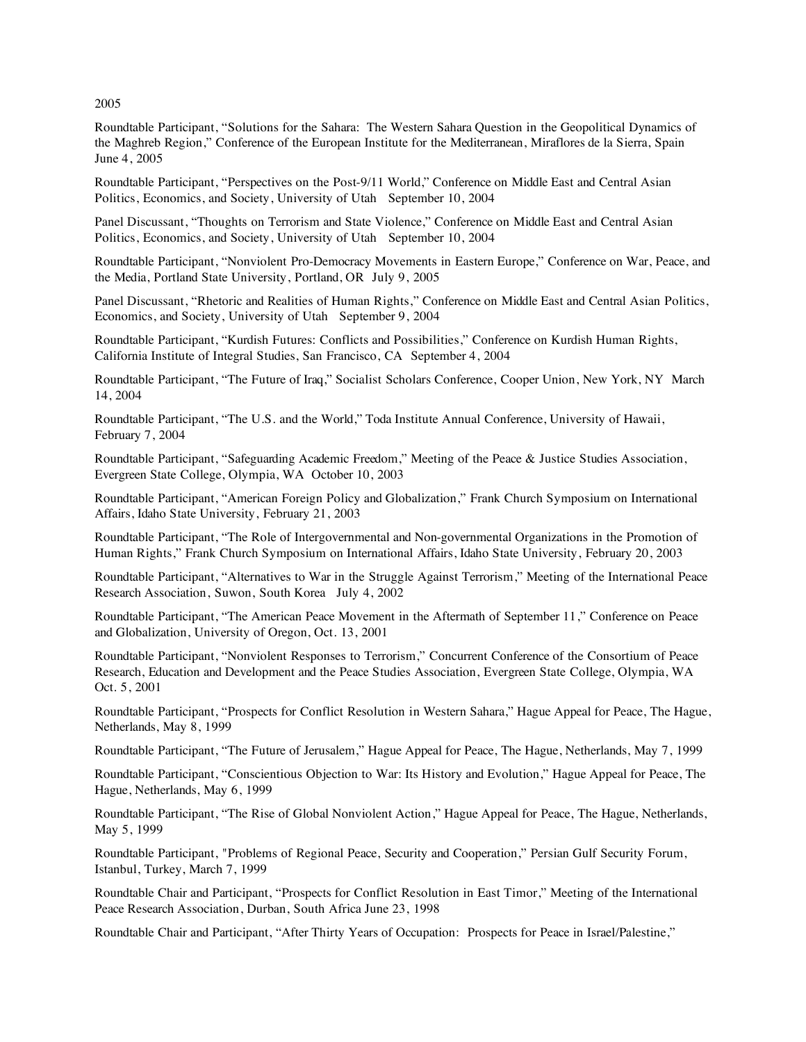2005

Roundtable Participant, "Solutions for the Sahara: The Western Sahara Question in the Geopolitical Dynamics of the Maghreb Region," Conference of the European Institute for the Mediterranean, Miraflores de la Sierra, Spain June 4, 2005

Roundtable Participant, "Perspectives on the Post-9/11 World," Conference on Middle East and Central Asian Politics, Economics, and Society, University of Utah September 10, 2004

Panel Discussant, "Thoughts on Terrorism and State Violence," Conference on Middle East and Central Asian Politics, Economics, and Society, University of Utah September 10, 2004

Roundtable Participant, "Nonviolent Pro-Democracy Movements in Eastern Europe," Conference on War, Peace, and the Media, Portland State University, Portland, OR July 9, 2005

Panel Discussant, "Rhetoric and Realities of Human Rights," Conference on Middle East and Central Asian Politics, Economics, and Society, University of Utah September 9, 2004

Roundtable Participant, "Kurdish Futures: Conflicts and Possibilities," Conference on Kurdish Human Rights, California Institute of Integral Studies, San Francisco, CA September 4, 2004

Roundtable Participant, "The Future of Iraq," Socialist Scholars Conference, Cooper Union, New York, NY March 14, 2004

Roundtable Participant, "The U.S. and the World," Toda Institute Annual Conference, University of Hawaii, February 7, 2004

Roundtable Participant, "Safeguarding Academic Freedom," Meeting of the Peace & Justice Studies Association, Evergreen State College, Olympia, WA October 10, 2003

Roundtable Participant, "American Foreign Policy and Globalization," Frank Church Symposium on International Affairs, Idaho State University, February 21, 2003

Roundtable Participant, "The Role of Intergovernmental and Non-governmental Organizations in the Promotion of Human Rights," Frank Church Symposium on International Affairs, Idaho State University, February 20, 2003

Roundtable Participant, "Alternatives to War in the Struggle Against Terrorism," Meeting of the International Peace Research Association, Suwon, South Korea July 4, 2002

Roundtable Participant, "The American Peace Movement in the Aftermath of September 11," Conference on Peace and Globalization, University of Oregon, Oct. 13, 2001

Roundtable Participant, "Nonviolent Responses to Terrorism," Concurrent Conference of the Consortium of Peace Research, Education and Development and the Peace Studies Association, Evergreen State College, Olympia, WA Oct. 5, 2001

Roundtable Participant, "Prospects for Conflict Resolution in Western Sahara," Hague Appeal for Peace, The Hague, Netherlands, May 8, 1999

Roundtable Participant, "The Future of Jerusalem," Hague Appeal for Peace, The Hague, Netherlands, May 7, 1999

Roundtable Participant, "Conscientious Objection to War: Its History and Evolution," Hague Appeal for Peace, The Hague, Netherlands, May 6, 1999

Roundtable Participant, "The Rise of Global Nonviolent Action," Hague Appeal for Peace, The Hague, Netherlands, May 5, 1999

Roundtable Participant, "Problems of Regional Peace, Security and Cooperation," Persian Gulf Security Forum, Istanbul, Turkey, March 7, 1999

Roundtable Chair and Participant, "Prospects for Conflict Resolution in East Timor," Meeting of the International Peace Research Association, Durban, South Africa June 23, 1998

Roundtable Chair and Participant, "After Thirty Years of Occupation: Prospects for Peace in Israel/Palestine,"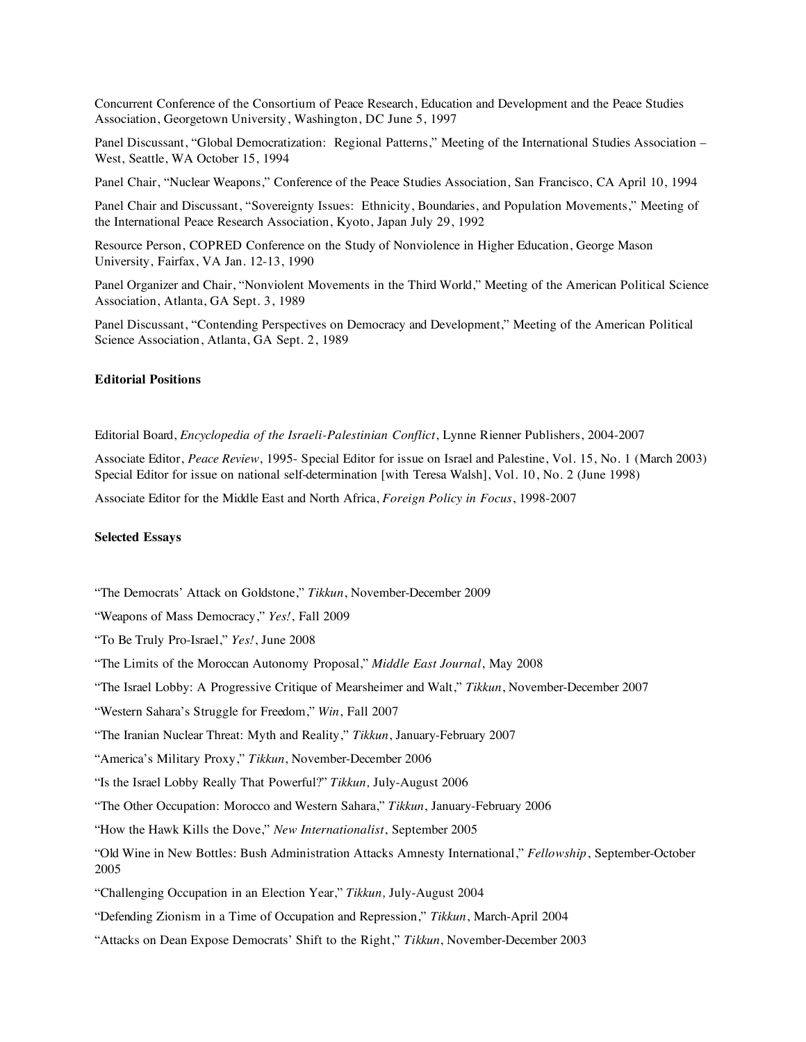Concurrent Conference of the Consortium of Peace Research, Education and Development and the Peace Studies Association, Georgetown University, Washington, DC June 5, 1997

Panel Discussant, "Global Democratization: Regional Patterns," Meeting of the International Studies Association – West, Seattle, WA October 15, 1994

Panel Chair, "Nuclear Weapons," Conference of the Peace Studies Association, San Francisco, CA April 10, 1994

Panel Chair and Discussant, "Sovereignty Issues: Ethnicity, Boundaries, and Population Movements," Meeting of the International Peace Research Association, Kyoto, Japan July 29, 1992

Resource Person, COPRED Conference on the Study of Nonviolence in Higher Education, George Mason University, Fairfax, VA Jan. 12-13, 1990

Panel Organizer and Chair, "Nonviolent Movements in the Third World," Meeting of the American Political Science Association, Atlanta, GA Sept. 3, 1989

Panel Discussant, "Contending Perspectives on Democracy and Development," Meeting of the American Political Science Association, Atlanta, GA Sept. 2, 1989

# **Editorial Positions**

Editorial Board, *Encyclopedia of the Israeli-Palestinian Conflict*, Lynne Rienner Publishers, 2004-2007

Associate Editor, *Peace Review*, 1995- Special Editor for issue on Israel and Palestine, Vol. 15, No. 1 (March 2003) Special Editor for issue on national self-determination [with Teresa Walsh], Vol. 10, No. 2 (June 1998)

Associate Editor for the Middle East and North Africa, *Foreign Policy in Focus*, 1998-2007

#### **Selected Essays**

"The Democrats' Attack on Goldstone," *Tikkun*, November-December 2009

"Weapons of Mass Democracy," *Yes!*, Fall 2009

- "To Be Truly Pro-Israel," *Yes!*, June 2008
- "The Limits of the Moroccan Autonomy Proposal," *Middle East Journal*, May 2008
- "The Israel Lobby: A Progressive Critique of Mearsheimer and Walt," *Tikkun*, November-December 2007
- "Western Sahara's Struggle for Freedom," *Win*, Fall 2007
- "The Iranian Nuclear Threat: Myth and Reality," *Tikkun*, January-February 2007
- "America's Military Proxy," *Tikkun*, November-December 2006
- "Is the Israel Lobby Really That Powerful?" *Tikkun,* July-August 2006
- "The Other Occupation: Morocco and Western Sahara," *Tikkun*, January-February 2006
- "How the Hawk Kills the Dove," *New Internationalist*, September 2005
- "Old Wine in New Bottles: Bush Administration Attacks Amnesty International," *Fellowship*, September-October 2005
- "Challenging Occupation in an Election Year," *Tikkun,* July-August 2004
- "Defending Zionism in a Time of Occupation and Repression," *Tikkun*, March-April 2004
- "Attacks on Dean Expose Democrats' Shift to the Right," *Tikkun*, November-December 2003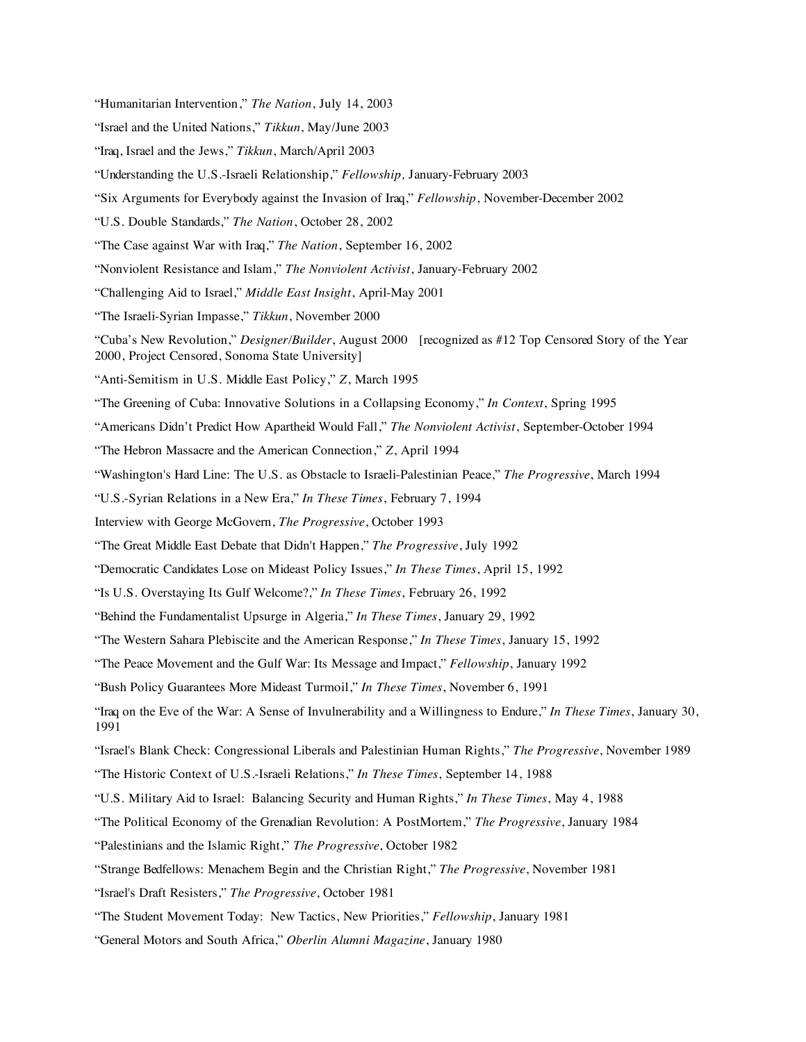- "Israel and the United Nations," *Tikkun*, May/June 2003
- "Iraq, Israel and the Jews," *Tikkun*, March/April 2003
- "Understanding the U.S.-Israeli Relationship," *Fellowship,* January-February 2003
- "Six Arguments for Everybody against the Invasion of Iraq," *Fellowship*, November-December 2002
- "U.S. Double Standards," *The Nation*, October 28, 2002
- "The Case against War with Iraq," *The Nation*, September 16, 2002
- "Nonviolent Resistance and Islam," *The Nonviolent Activist*, January-February 2002
- "Challenging Aid to Israel," *Middle East Insight*, April-May 2001
- "The Israeli-Syrian Impasse," *Tikkun*, November 2000
- "Cuba's New Revolution," *Designer/Builder*, August 2000[recognized as #12 Top Censored Story of the Year 2000, Project Censored, Sonoma State University]
- "Anti-Semitism in U.S. Middle East Policy," *Z*, March 1995
- "The Greening of Cuba: Innovative Solutions in a Collapsing Economy," *In Context*, Spring 1995
- "Americans Didn't Predict How Apartheid Would Fall," *The Nonviolent Activist*, September-October 1994
- "The Hebron Massacre and the American Connection," *Z*, April 1994
- "Washington's Hard Line: The U.S. as Obstacle to Israeli-Palestinian Peace," *The Progressive*, March 1994
- "U.S.-Syrian Relations in a New Era," *In These Times*, February 7, 1994
- Interview with George McGovern, *The Progressive*, October 1993
- "The Great Middle East Debate that Didn't Happen," *The Progressive*, July 1992
- "Democratic Candidates Lose on Mideast Policy Issues," *In These Times*, April 15, 1992
- "Is U.S. Overstaying Its Gulf Welcome?," *In These Times*, February 26, 1992
- "Behind the Fundamentalist Upsurge in Algeria," *In These Times*, January 29, 1992
- "The Western Sahara Plebiscite and the American Response," *In These Times*, January 15, 1992
- "The Peace Movement and the Gulf War: Its Message and Impact," *Fellowship*, January 1992
- "Bush Policy Guarantees More Mideast Turmoil," *In These Times*, November 6, 1991
- "Iraq on the Eve of the War: A Sense of Invulnerability and a Willingness to Endure," *In These Times*, January 30, 1991
- "Israel's Blank Check: Congressional Liberals and Palestinian Human Rights," *The Progressive*, November 1989
- "The Historic Context of U.S.-Israeli Relations," *In These Times*, September 14, 1988
- "U.S. Military Aid to Israel: Balancing Security and Human Rights," *In These Times*, May 4, 1988
- "The Political Economy of the Grenadian Revolution: A PostMortem," *The Progressive*, January 1984
- "Palestinians and the Islamic Right," *The Progressive*, October 1982
- "Strange Bedfellows: Menachem Begin and the Christian Right," *The Progressive*, November 1981
- "Israel's Draft Resisters," *The Progressive*, October 1981
- "The Student Movement Today: New Tactics, New Priorities," *Fellowship*, January 1981
- "General Motors and South Africa," *Oberlin Alumni Magazine*, January 1980

<sup>&</sup>quot;Humanitarian Intervention," *The Nation*, July 14, 2003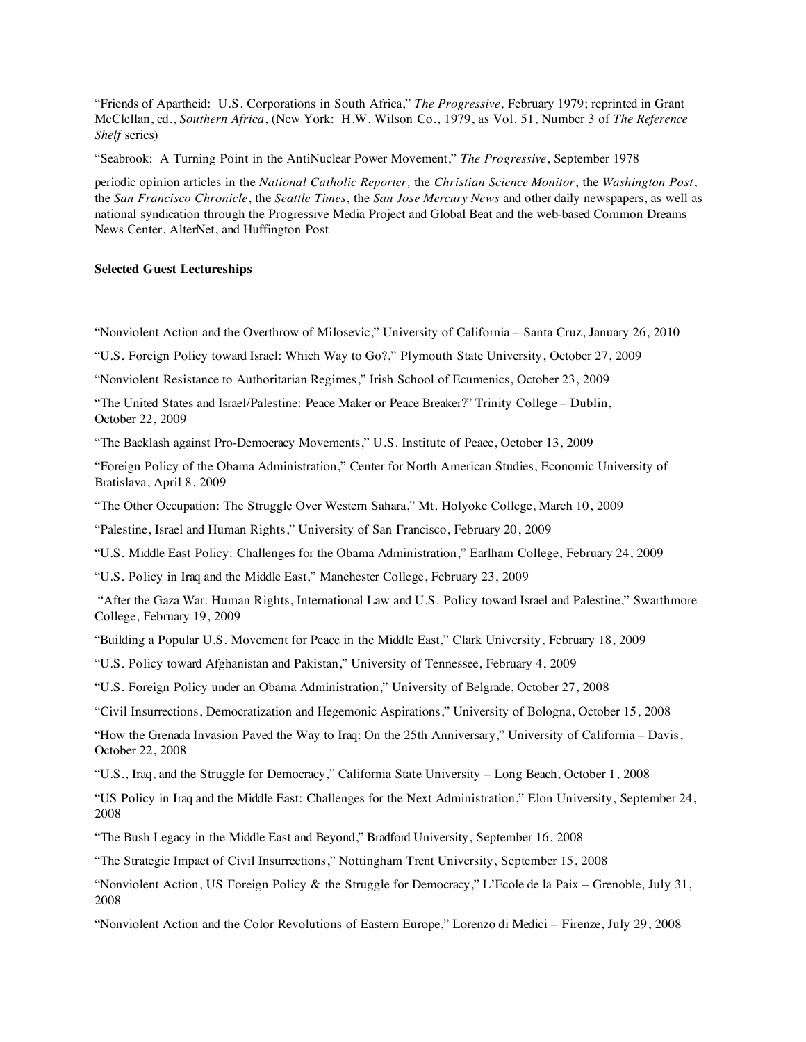"Friends of Apartheid: U.S. Corporations in South Africa," *The Progressive*, February 1979; reprinted in Grant McClellan, ed., *Southern Africa*, (New York: H.W. Wilson Co., 1979, as Vol. 51, Number 3 of *The Reference Shelf* series)

"Seabrook: A Turning Point in the AntiNuclear Power Movement," *The Progressive*, September 1978

periodic opinion articles in the *National Catholic Reporter,* the *Christian Science Monitor*, the *Washington Post*, the *San Francisco Chronicle*, the *Seattle Times*, the *San Jose Mercury News* and other daily newspapers, as well as national syndication through the Progressive Media Project and Global Beat and the web-based Common Dreams News Center, AlterNet, and Huffington Post

#### **Selected Guest Lectureships**

"Nonviolent Action and the Overthrow of Milosevic," University of California – Santa Cruz, January 26, 2010

"U.S. Foreign Policy toward Israel: Which Way to Go?," Plymouth State University, October 27, 2009

"Nonviolent Resistance to Authoritarian Regimes," Irish School of Ecumenics, October 23, 2009

"The United States and Israel/Palestine: Peace Maker or Peace Breaker?" Trinity College – Dublin, October 22, 2009

"The Backlash against Pro-Democracy Movements," U.S. Institute of Peace, October 13, 2009

"Foreign Policy of the Obama Administration," Center for North American Studies, Economic University of Bratislava, April 8, 2009

"The Other Occupation: The Struggle Over Western Sahara," Mt. Holyoke College, March 10, 2009

"Palestine, Israel and Human Rights," University of San Francisco, February 20, 2009

"U.S. Middle East Policy: Challenges for the Obama Administration," Earlham College, February 24, 2009

"U.S. Policy in Iraq and the Middle East," Manchester College, February 23, 2009

 "After the Gaza War: Human Rights, International Law and U.S. Policy toward Israel and Palestine," Swarthmore College, February 19, 2009

"Building a Popular U.S. Movement for Peace in the Middle East," Clark University, February 18, 2009

"U.S. Policy toward Afghanistan and Pakistan," University of Tennessee, February 4, 2009

"U.S. Foreign Policy under an Obama Administration," University of Belgrade, October 27, 2008

"Civil Insurrections, Democratization and Hegemonic Aspirations," University of Bologna, October 15, 2008

"How the Grenada Invasion Paved the Way to Iraq: On the 25th Anniversary," University of California – Davis, October 22, 2008

"U.S., Iraq, and the Struggle for Democracy," California State University – Long Beach, October 1, 2008

"US Policy in Iraq and the Middle East: Challenges for the Next Administration," Elon University, September 24, 2008

"The Bush Legacy in the Middle East and Beyond," Bradford University, September 16, 2008

"The Strategic Impact of Civil Insurrections," Nottingham Trent University, September 15, 2008

"Nonviolent Action, US Foreign Policy & the Struggle for Democracy," L'Ecole de la Paix – Grenoble, July 31, 2008

"Nonviolent Action and the Color Revolutions of Eastern Europe," Lorenzo di Medici – Firenze, July 29, 2008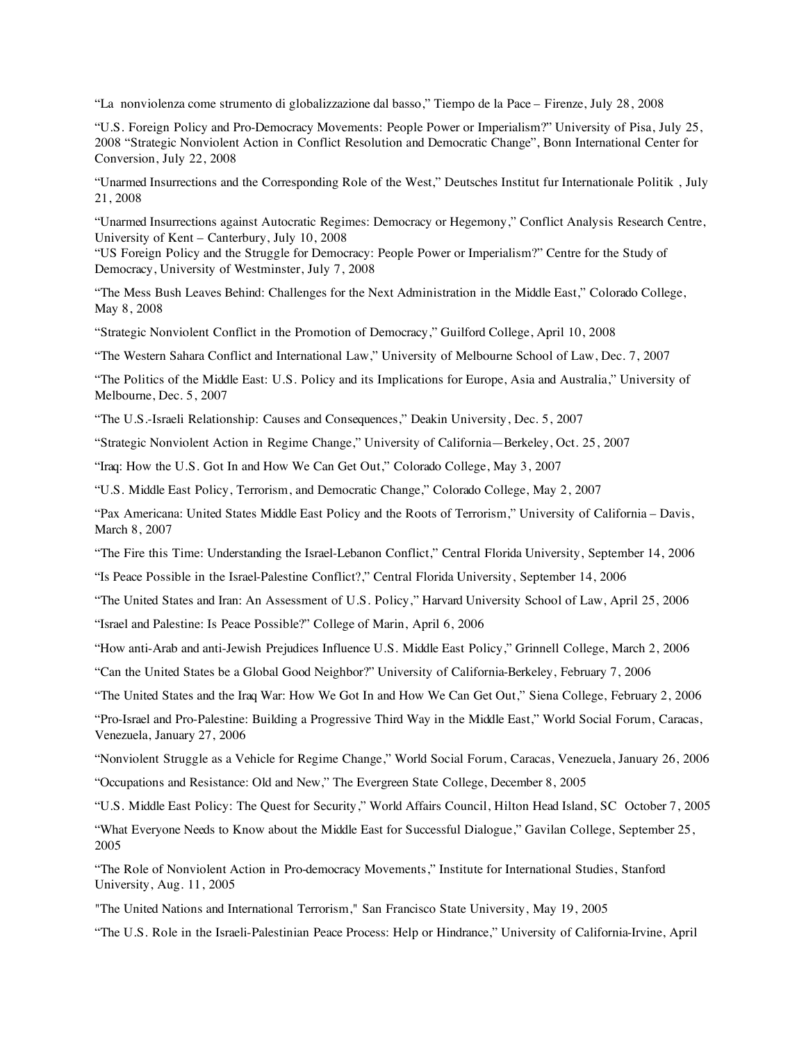"La nonviolenza come strumento di globalizzazione dal basso," Tiempo de la Pace – Firenze, July 28, 2008

"U.S. Foreign Policy and Pro-Democracy Movements: People Power or Imperialism?" University of Pisa, July 25, 2008 "Strategic Nonviolent Action in Conflict Resolution and Democratic Change", Bonn International Center for Conversion, July 22, 2008

"Unarmed Insurrections and the Corresponding Role of the West," Deutsches Institut fur Internationale Politik , July 21, 2008

"Unarmed Insurrections against Autocratic Regimes: Democracy or Hegemony," Conflict Analysis Research Centre, University of Kent – Canterbury, July 10, 2008

"US Foreign Policy and the Struggle for Democracy: People Power or Imperialism?" Centre for the Study of Democracy, University of Westminster, July 7, 2008

"The Mess Bush Leaves Behind: Challenges for the Next Administration in the Middle East," Colorado College, May 8, 2008

"Strategic Nonviolent Conflict in the Promotion of Democracy," Guilford College, April 10, 2008

"The Western Sahara Conflict and International Law," University of Melbourne School of Law, Dec. 7, 2007

"The Politics of the Middle East: U.S. Policy and its Implications for Europe, Asia and Australia," University of Melbourne, Dec. 5, 2007

"The U.S.-Israeli Relationship: Causes and Consequences," Deakin University, Dec. 5, 2007

"Strategic Nonviolent Action in Regime Change," University of California—Berkeley, Oct. 25, 2007

"Iraq: How the U.S. Got In and How We Can Get Out," Colorado College, May 3, 2007

"U.S. Middle East Policy, Terrorism, and Democratic Change," Colorado College, May 2, 2007

"Pax Americana: United States Middle East Policy and the Roots of Terrorism," University of California – Davis, March 8, 2007

"The Fire this Time: Understanding the Israel-Lebanon Conflict," Central Florida University, September 14, 2006

"Is Peace Possible in the Israel-Palestine Conflict?," Central Florida University, September 14, 2006

"The United States and Iran: An Assessment of U.S. Policy," Harvard University School of Law, April 25, 2006

"Israel and Palestine: Is Peace Possible?" College of Marin, April 6, 2006

"How anti-Arab and anti-Jewish Prejudices Influence U.S. Middle East Policy," Grinnell College, March 2, 2006

"Can the United States be a Global Good Neighbor?" University of California-Berkeley, February 7, 2006

"The United States and the Iraq War: How We Got In and How We Can Get Out," Siena College, February 2, 2006

"Pro-Israel and Pro-Palestine: Building a Progressive Third Way in the Middle East," World Social Forum, Caracas, Venezuela, January 27, 2006

"Nonviolent Struggle as a Vehicle for Regime Change," World Social Forum, Caracas, Venezuela, January 26, 2006

"Occupations and Resistance: Old and New," The Evergreen State College, December 8, 2005

"U.S. Middle East Policy: The Quest for Security," World Affairs Council, Hilton Head Island, SC October 7, 2005

"What Everyone Needs to Know about the Middle East for Successful Dialogue," Gavilan College, September 25, 2005

"The Role of Nonviolent Action in Pro-democracy Movements," Institute for International Studies, Stanford University, Aug. 11, 2005

"The United Nations and International Terrorism," San Francisco State University, May 19, 2005

"The U.S. Role in the Israeli-Palestinian Peace Process: Help or Hindrance," University of California-Irvine, April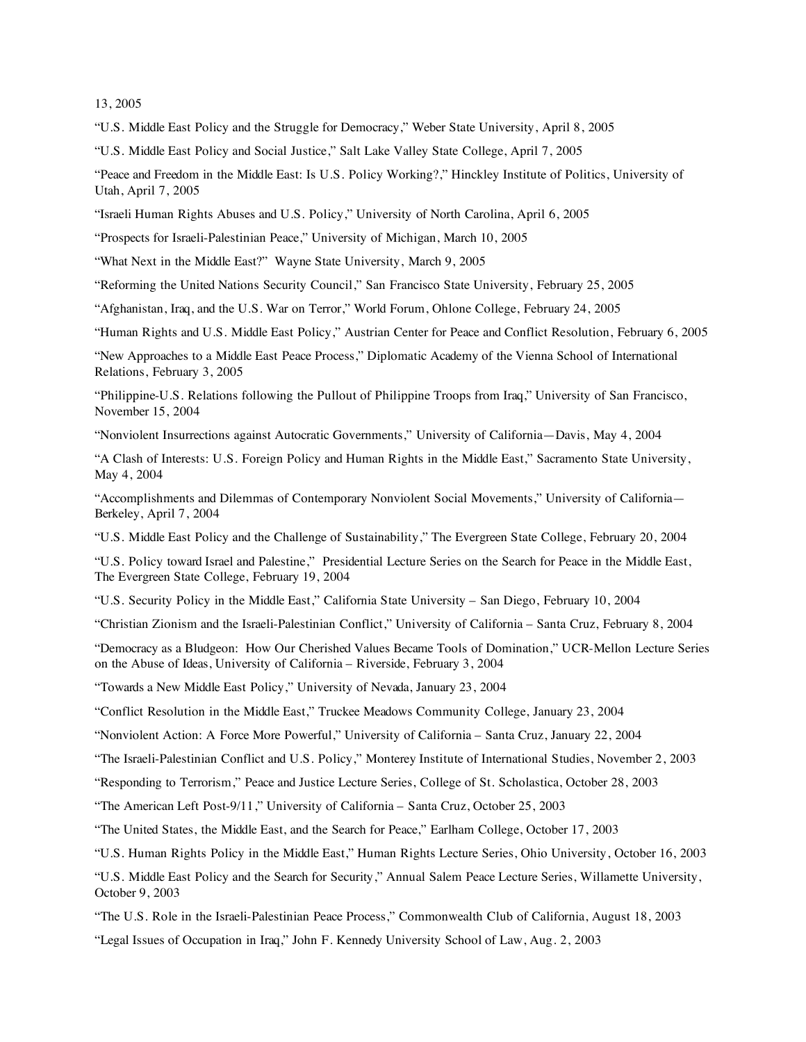13, 2005

"U.S. Middle East Policy and the Struggle for Democracy," Weber State University, April 8, 2005

"U.S. Middle East Policy and Social Justice," Salt Lake Valley State College, April 7, 2005

"Peace and Freedom in the Middle East: Is U.S. Policy Working?," Hinckley Institute of Politics, University of Utah, April 7, 2005

"Israeli Human Rights Abuses and U.S. Policy," University of North Carolina, April 6, 2005

"Prospects for Israeli-Palestinian Peace," University of Michigan, March 10, 2005

"What Next in the Middle East?" Wayne State University, March 9, 2005

"Reforming the United Nations Security Council," San Francisco State University, February 25, 2005

"Afghanistan, Iraq, and the U.S. War on Terror," World Forum, Ohlone College, February 24, 2005

"Human Rights and U.S. Middle East Policy," Austrian Center for Peace and Conflict Resolution, February 6, 2005

"New Approaches to a Middle East Peace Process," Diplomatic Academy of the Vienna School of International Relations, February 3, 2005

"Philippine-U.S. Relations following the Pullout of Philippine Troops from Iraq," University of San Francisco, November 15, 2004

"Nonviolent Insurrections against Autocratic Governments," University of California—Davis, May 4, 2004

"A Clash of Interests: U.S. Foreign Policy and Human Rights in the Middle East," Sacramento State University, May 4, 2004

"Accomplishments and Dilemmas of Contemporary Nonviolent Social Movements," University of California— Berkeley, April 7, 2004

"U.S. Middle East Policy and the Challenge of Sustainability," The Evergreen State College, February 20, 2004

"U.S. Policy toward Israel and Palestine," Presidential Lecture Series on the Search for Peace in the Middle East, The Evergreen State College, February 19, 2004

"U.S. Security Policy in the Middle East," California State University – San Diego, February 10, 2004

"Christian Zionism and the Israeli-Palestinian Conflict," University of California – Santa Cruz, February 8, 2004

"Democracy as a Bludgeon: How Our Cherished Values Became Tools of Domination," UCR-Mellon Lecture Series on the Abuse of Ideas, University of California – Riverside, February 3, 2004

"Towards a New Middle East Policy," University of Nevada, January 23, 2004

"Conflict Resolution in the Middle East," Truckee Meadows Community College, January 23, 2004

"Nonviolent Action: A Force More Powerful," University of California – Santa Cruz, January 22, 2004

"The Israeli-Palestinian Conflict and U.S. Policy," Monterey Institute of International Studies, November 2, 2003

"Responding to Terrorism," Peace and Justice Lecture Series, College of St. Scholastica, October 28, 2003

"The American Left Post-9/11," University of California – Santa Cruz, October 25, 2003

"The United States, the Middle East, and the Search for Peace," Earlham College, October 17, 2003

"U.S. Human Rights Policy in the Middle East," Human Rights Lecture Series, Ohio University, October 16, 2003

"U.S. Middle East Policy and the Search for Security," Annual Salem Peace Lecture Series, Willamette University, October 9, 2003

"The U.S. Role in the Israeli-Palestinian Peace Process," Commonwealth Club of California, August 18, 2003

"Legal Issues of Occupation in Iraq," John F. Kennedy University School of Law, Aug. 2, 2003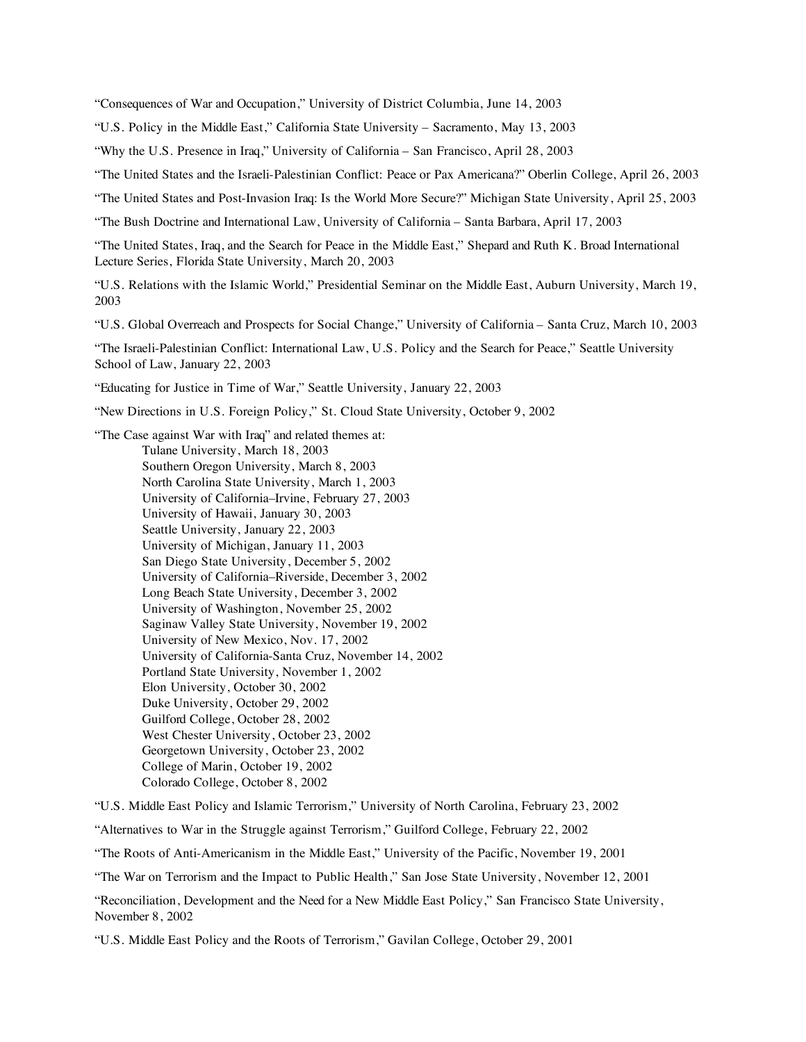"Consequences of War and Occupation," University of District Columbia, June 14, 2003

"U.S. Policy in the Middle East," California State University – Sacramento, May 13, 2003

"Why the U.S. Presence in Iraq," University of California – San Francisco, April 28, 2003

"The United States and the Israeli-Palestinian Conflict: Peace or Pax Americana?" Oberlin College, April 26, 2003

"The United States and Post-Invasion Iraq: Is the World More Secure?" Michigan State University, April 25, 2003

"The Bush Doctrine and International Law, University of California – Santa Barbara, April 17, 2003

"The United States, Iraq, and the Search for Peace in the Middle East," Shepard and Ruth K. Broad International Lecture Series, Florida State University, March 20, 2003

"U.S. Relations with the Islamic World," Presidential Seminar on the Middle East, Auburn University, March 19, 2003

"U.S. Global Overreach and Prospects for Social Change," University of California – Santa Cruz, March 10, 2003

"The Israeli-Palestinian Conflict: International Law, U.S. Policy and the Search for Peace," Seattle University School of Law, January 22, 2003

"Educating for Justice in Time of War," Seattle University, January 22, 2003

"New Directions in U.S. Foreign Policy," St. Cloud State University, October 9, 2002

"The Case against War with Iraq" and related themes at: Tulane University, March 18, 2003 Southern Oregon University, March 8, 2003 North Carolina State University, March 1, 2003 University of California–Irvine, February 27, 2003 University of Hawaii, January 30, 2003 Seattle University, January 22, 2003 University of Michigan, January 11, 2003 San Diego State University, December 5, 2002 University of California–Riverside, December 3, 2002 Long Beach State University, December 3, 2002 University of Washington, November 25, 2002 Saginaw Valley State University, November 19, 2002 University of New Mexico, Nov. 17, 2002 University of California-Santa Cruz, November 14, 2002 Portland State University, November 1, 2002 Elon University, October 30, 2002 Duke University, October 29, 2002 Guilford College, October 28, 2002 West Chester University, October 23, 2002 Georgetown University, October 23, 2002 College of Marin, October 19, 2002 Colorado College, October 8, 2002

"U.S. Middle East Policy and Islamic Terrorism," University of North Carolina, February 23, 2002

"Alternatives to War in the Struggle against Terrorism," Guilford College, February 22, 2002

"The Roots of Anti-Americanism in the Middle East," University of the Pacific, November 19, 2001

"The War on Terrorism and the Impact to Public Health," San Jose State University, November 12, 2001

"Reconciliation, Development and the Need for a New Middle East Policy," San Francisco State University, November 8, 2002

"U.S. Middle East Policy and the Roots of Terrorism," Gavilan College, October 29, 2001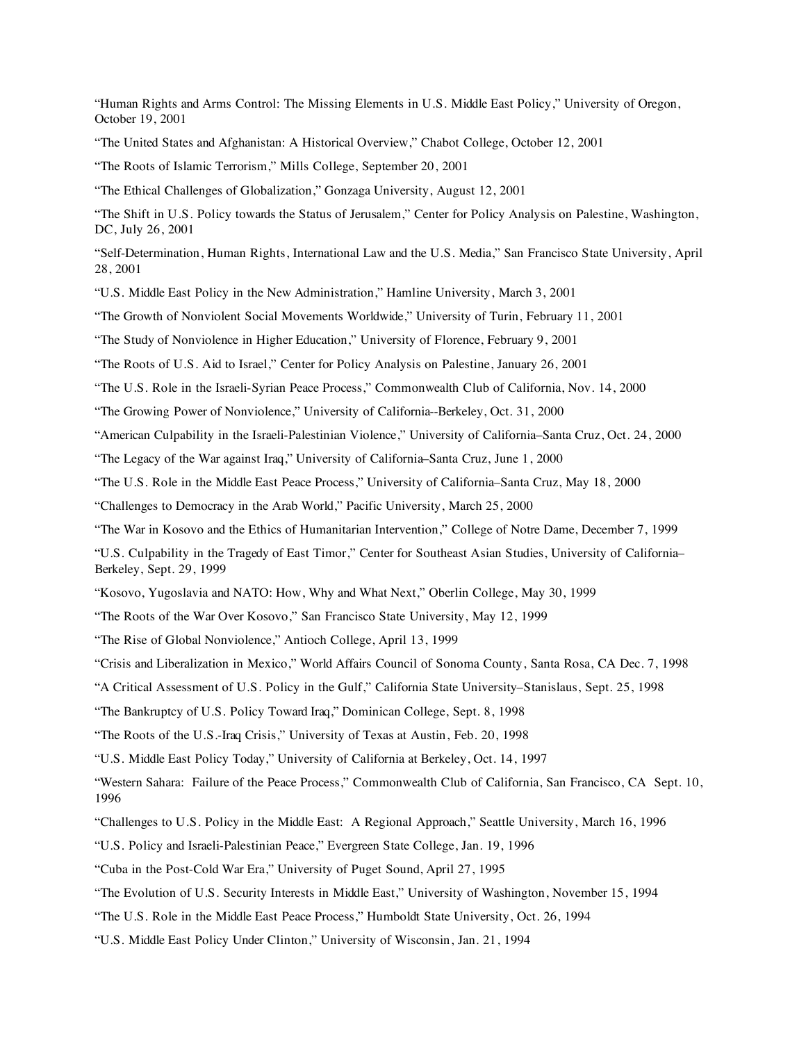"Human Rights and Arms Control: The Missing Elements in U.S. Middle East Policy," University of Oregon, October 19, 2001

"The United States and Afghanistan: A Historical Overview," Chabot College, October 12, 2001

"The Roots of Islamic Terrorism," Mills College, September 20, 2001

"The Ethical Challenges of Globalization," Gonzaga University, August 12, 2001

"The Shift in U.S. Policy towards the Status of Jerusalem," Center for Policy Analysis on Palestine, Washington, DC, July 26, 2001

"Self-Determination, Human Rights, International Law and the U.S. Media," San Francisco State University, April 28, 2001

"U.S. Middle East Policy in the New Administration," Hamline University, March 3, 2001

"The Growth of Nonviolent Social Movements Worldwide," University of Turin, February 11, 2001

"The Study of Nonviolence in Higher Education," University of Florence, February 9, 2001

"The Roots of U.S. Aid to Israel," Center for Policy Analysis on Palestine, January 26, 2001

"The U.S. Role in the Israeli-Syrian Peace Process," Commonwealth Club of California, Nov. 14, 2000

"The Growing Power of Nonviolence," University of California--Berkeley, Oct. 31, 2000

"American Culpability in the Israeli-Palestinian Violence," University of California–Santa Cruz, Oct. 24, 2000

"The Legacy of the War against Iraq," University of California–Santa Cruz, June 1, 2000

"The U.S. Role in the Middle East Peace Process," University of California–Santa Cruz, May 18, 2000

"Challenges to Democracy in the Arab World," Pacific University, March 25, 2000

"The War in Kosovo and the Ethics of Humanitarian Intervention," College of Notre Dame, December 7, 1999

"U.S. Culpability in the Tragedy of East Timor," Center for Southeast Asian Studies, University of California– Berkeley, Sept. 29, 1999

"Kosovo, Yugoslavia and NATO: How, Why and What Next," Oberlin College, May 30, 1999

"The Roots of the War Over Kosovo," San Francisco State University, May 12, 1999

"The Rise of Global Nonviolence," Antioch College, April 13, 1999

"Crisis and Liberalization in Mexico," World Affairs Council of Sonoma County, Santa Rosa, CA Dec. 7, 1998

"A Critical Assessment of U.S. Policy in the Gulf," California State University–Stanislaus, Sept. 25, 1998

"The Bankruptcy of U.S. Policy Toward Iraq," Dominican College, Sept. 8, 1998

"The Roots of the U.S.-Iraq Crisis," University of Texas at Austin, Feb. 20, 1998

"U.S. Middle East Policy Today," University of California at Berkeley, Oct. 14, 1997

"Western Sahara: Failure of the Peace Process," Commonwealth Club of California, San Francisco, CA Sept. 10, 1996

"Challenges to U.S. Policy in the Middle East: A Regional Approach," Seattle University, March 16, 1996

"U.S. Policy and Israeli-Palestinian Peace," Evergreen State College, Jan. 19, 1996

"Cuba in the Post-Cold War Era," University of Puget Sound, April 27, 1995

"The Evolution of U.S. Security Interests in Middle East," University of Washington, November 15, 1994

"The U.S. Role in the Middle East Peace Process," Humboldt State University, Oct. 26, 1994

"U.S. Middle East Policy Under Clinton," University of Wisconsin, Jan. 21, 1994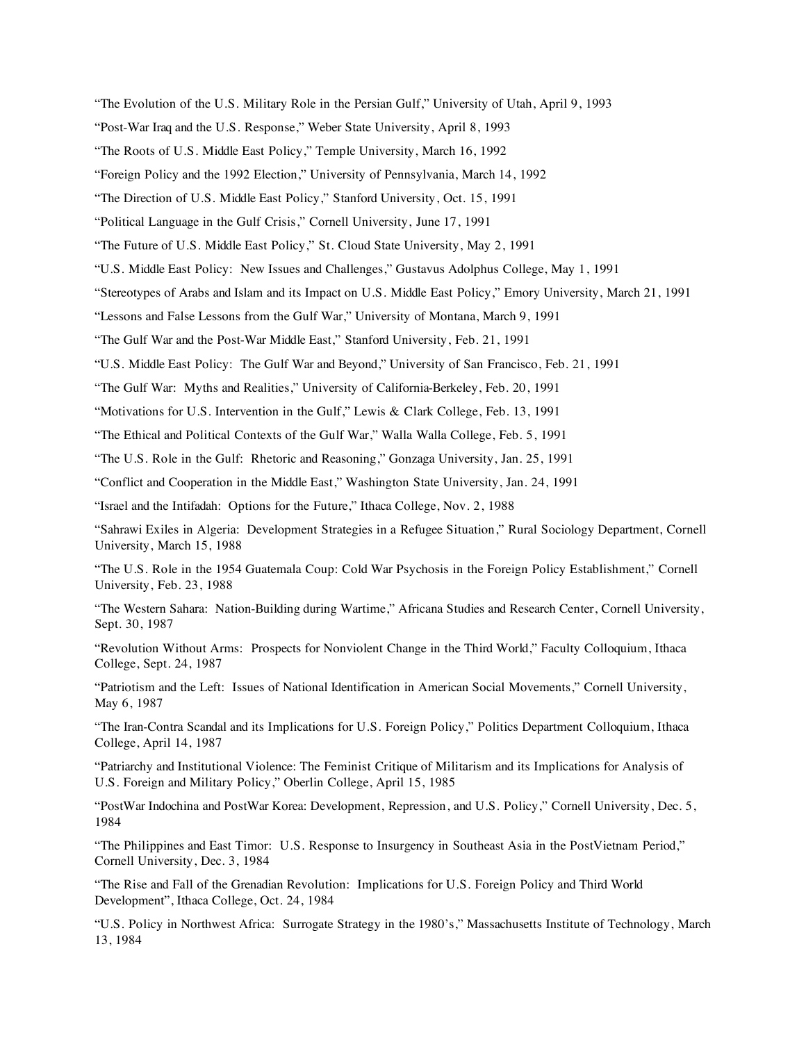"The Evolution of the U.S. Military Role in the Persian Gulf," University of Utah, April 9, 1993

"Post-War Iraq and the U.S. Response," Weber State University, April 8, 1993

"The Roots of U.S. Middle East Policy," Temple University, March 16, 1992

"Foreign Policy and the 1992 Election," University of Pennsylvania, March 14, 1992

"The Direction of U.S. Middle East Policy," Stanford University, Oct. 15, 1991

"Political Language in the Gulf Crisis," Cornell University, June 17, 1991

"The Future of U.S. Middle East Policy," St. Cloud State University, May 2, 1991

"U.S. Middle East Policy: New Issues and Challenges," Gustavus Adolphus College, May 1, 1991

"Stereotypes of Arabs and Islam and its Impact on U.S. Middle East Policy," Emory University, March 21, 1991

"Lessons and False Lessons from the Gulf War," University of Montana, March 9, 1991

"The Gulf War and the Post-War Middle East," Stanford University, Feb. 21, 1991

"U.S. Middle East Policy: The Gulf War and Beyond," University of San Francisco, Feb. 21, 1991

"The Gulf War: Myths and Realities," University of California-Berkeley, Feb. 20, 1991

"Motivations for U.S. Intervention in the Gulf," Lewis & Clark College, Feb. 13, 1991

"The Ethical and Political Contexts of the Gulf War," Walla Walla College, Feb. 5, 1991

"The U.S. Role in the Gulf: Rhetoric and Reasoning," Gonzaga University, Jan. 25, 1991

"Conflict and Cooperation in the Middle East," Washington State University, Jan. 24, 1991

"Israel and the Intifadah: Options for the Future," Ithaca College, Nov. 2, 1988

"Sahrawi Exiles in Algeria: Development Strategies in a Refugee Situation," Rural Sociology Department, Cornell University, March 15, 1988

"The U.S. Role in the 1954 Guatemala Coup: Cold War Psychosis in the Foreign Policy Establishment," Cornell University, Feb. 23, 1988

"The Western Sahara: Nation-Building during Wartime," Africana Studies and Research Center, Cornell University, Sept. 30, 1987

"Revolution Without Arms: Prospects for Nonviolent Change in the Third World," Faculty Colloquium, Ithaca College, Sept. 24, 1987

"Patriotism and the Left: Issues of National Identification in American Social Movements," Cornell University, May 6, 1987

"The Iran-Contra Scandal and its Implications for U.S. Foreign Policy," Politics Department Colloquium, Ithaca College, April 14, 1987

"Patriarchy and Institutional Violence: The Feminist Critique of Militarism and its Implications for Analysis of U.S. Foreign and Military Policy," Oberlin College, April 15, 1985

"PostWar Indochina and PostWar Korea: Development, Repression, and U.S. Policy," Cornell University, Dec. 5, 1984

"The Philippines and East Timor: U.S. Response to Insurgency in Southeast Asia in the PostVietnam Period," Cornell University, Dec. 3, 1984

"The Rise and Fall of the Grenadian Revolution: Implications for U.S. Foreign Policy and Third World Development", Ithaca College, Oct. 24, 1984

"U.S. Policy in Northwest Africa: Surrogate Strategy in the 1980's," Massachusetts Institute of Technology, March 13, 1984